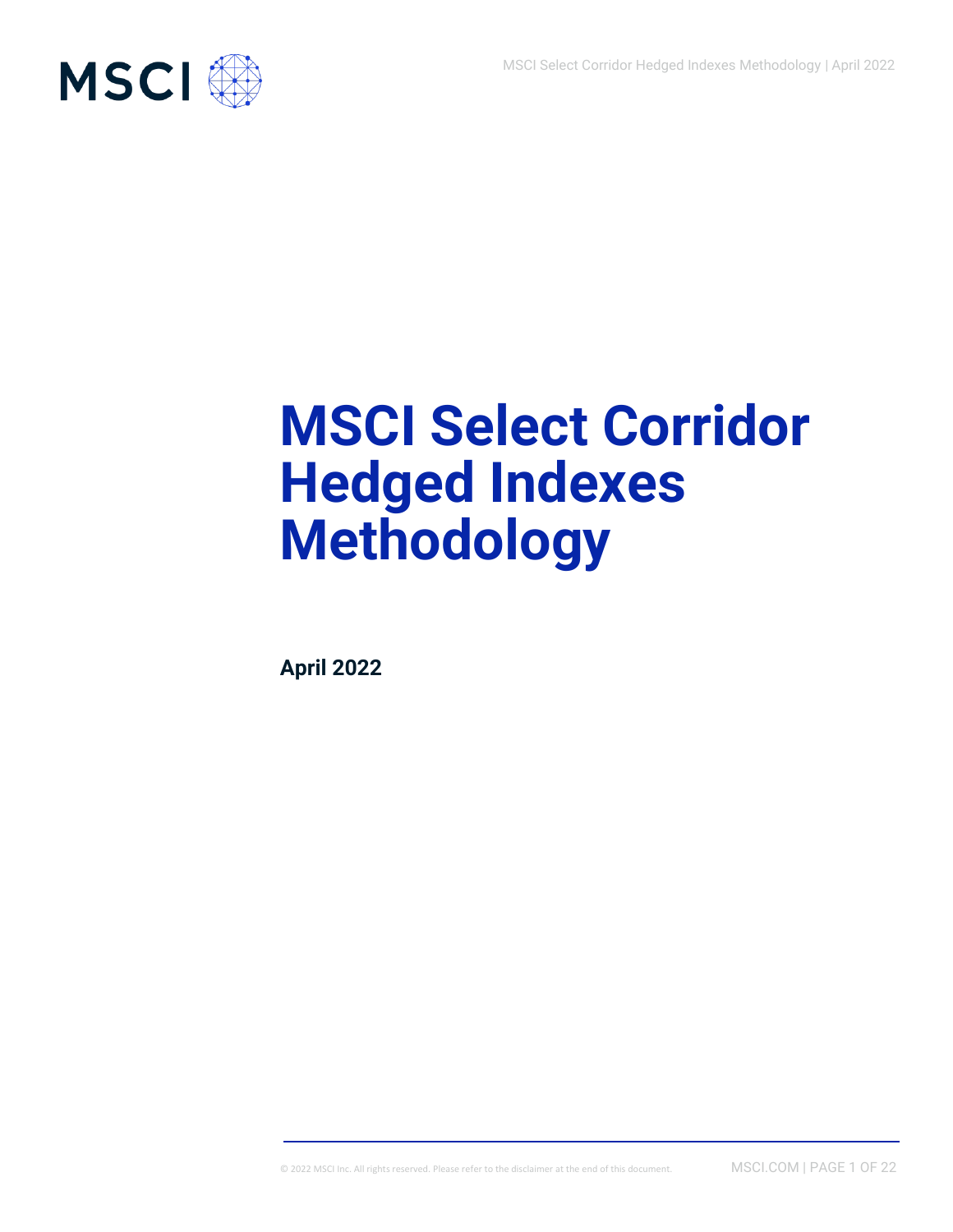

# **MSCI Select Corridor Hedged Indexes Methodology**

**April 2022**

© 2022 MSCI Inc. All rights reserved. Please refer to the disclaimer at the end of this document. MSCI.COM | PAGE 1 OF 22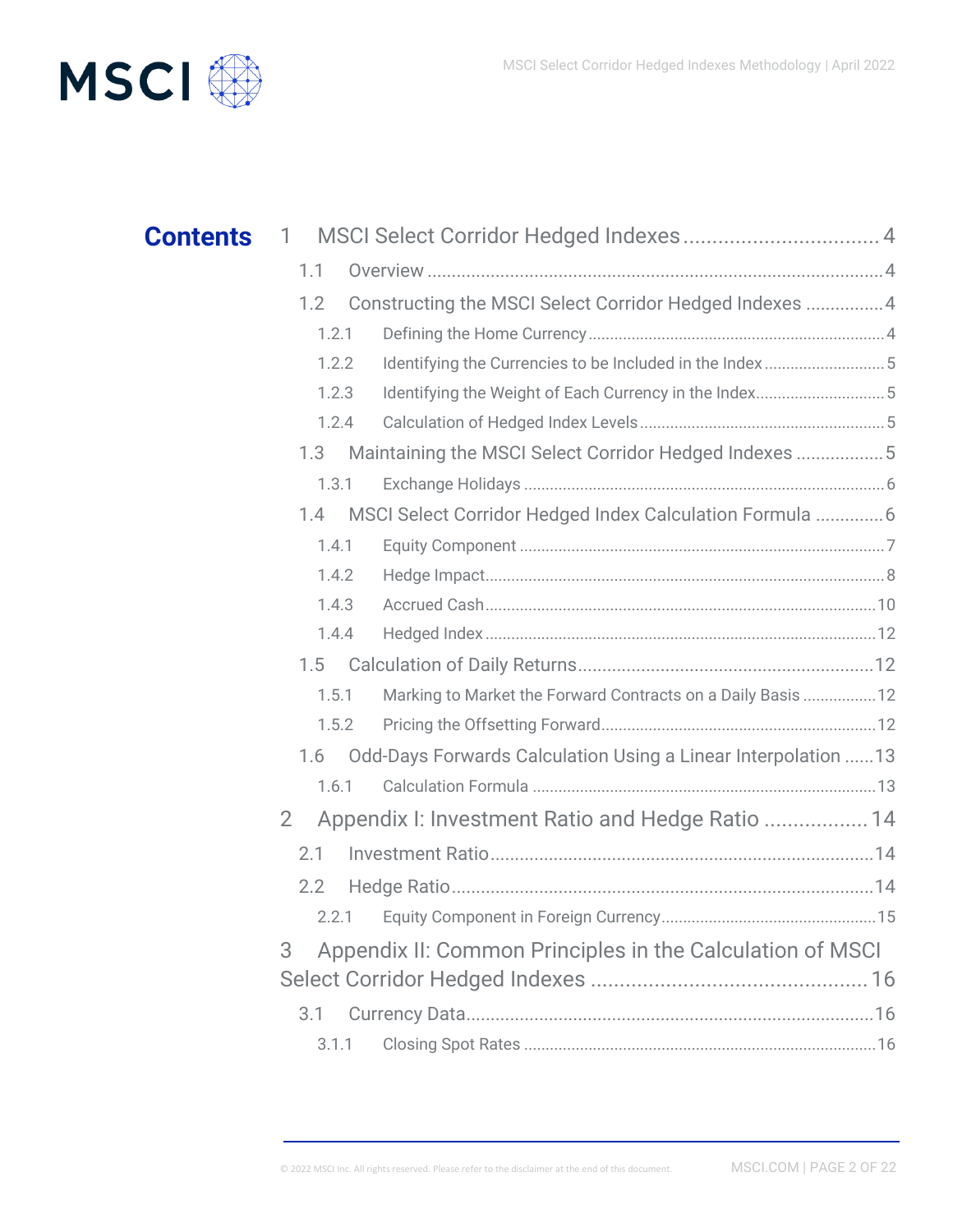

| <b>Contents</b> | 1              |                                                               |  |
|-----------------|----------------|---------------------------------------------------------------|--|
|                 | 1.1            |                                                               |  |
|                 | 1.2            | Constructing the MSCI Select Corridor Hedged Indexes  4       |  |
|                 | 1.2.1          |                                                               |  |
|                 | 1.2.2          | Identifying the Currencies to be Included in the Index5       |  |
|                 | 1.2.3          | Identifying the Weight of Each Currency in the Index5         |  |
|                 | 1.2.4          |                                                               |  |
|                 | 1.3            | Maintaining the MSCI Select Corridor Hedged Indexes  5        |  |
|                 | 1.3.1          |                                                               |  |
|                 | 1.4            | MSCI Select Corridor Hedged Index Calculation Formula  6      |  |
|                 | 1.4.1          |                                                               |  |
|                 | 1.4.2          |                                                               |  |
|                 | 1.4.3          |                                                               |  |
|                 | 1.4.4          |                                                               |  |
|                 | 1.5            |                                                               |  |
|                 | 1.5.1          | Marking to Market the Forward Contracts on a Daily Basis 12   |  |
|                 | 1.5.2          |                                                               |  |
|                 | 1.6            | Odd-Days Forwards Calculation Using a Linear Interpolation 13 |  |
|                 | 1.6.1          |                                                               |  |
|                 | $\overline{2}$ | Appendix I: Investment Ratio and Hedge Ratio  14              |  |
|                 | 2.1            |                                                               |  |
|                 | 2.2            |                                                               |  |
|                 | 2.2.1          |                                                               |  |
|                 | 3              | Appendix II: Common Principles in the Calculation of MSCI     |  |
|                 |                |                                                               |  |
|                 | 3.1            |                                                               |  |
|                 | 3.1.1          |                                                               |  |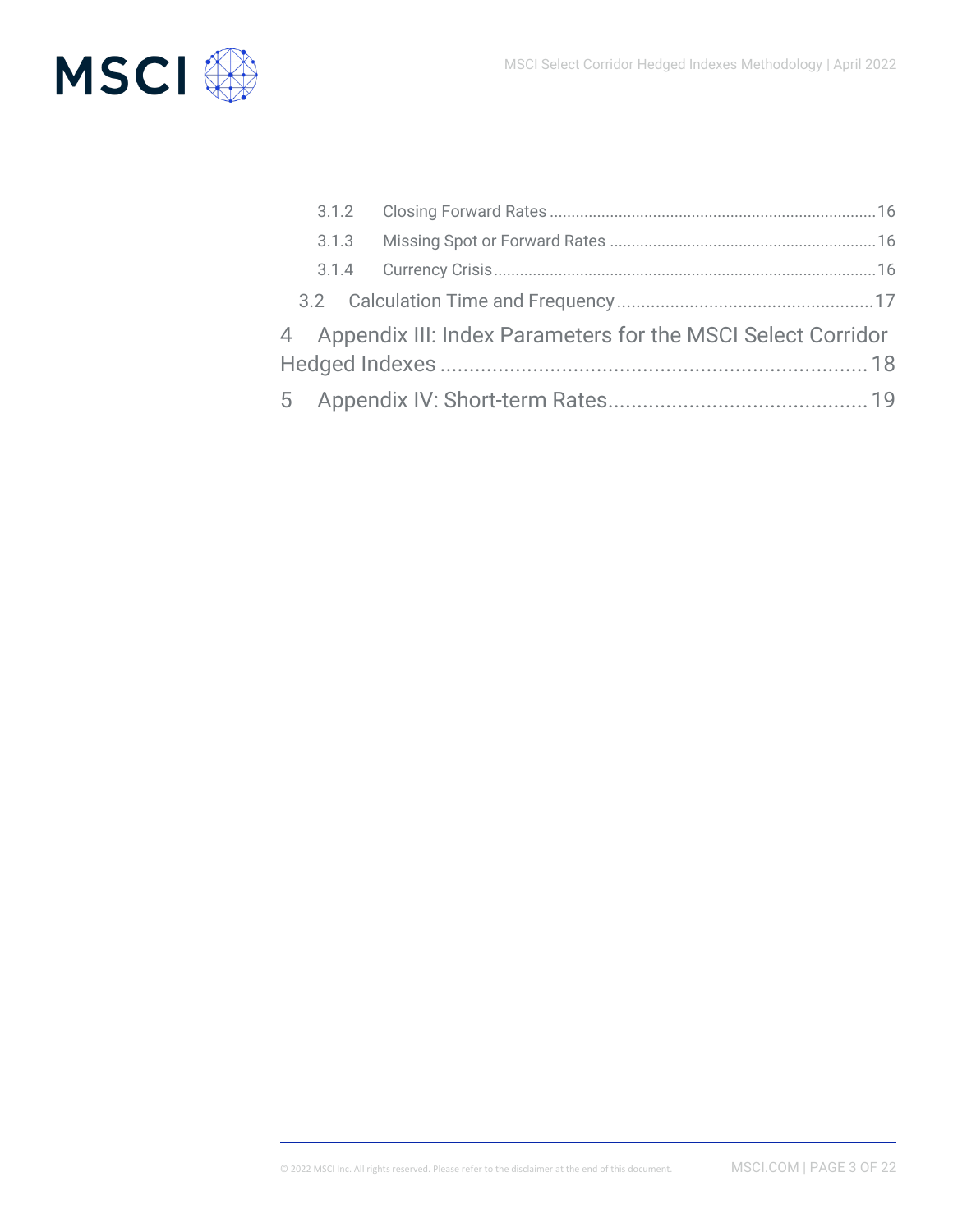

|  | 4 Appendix III: Index Parameters for the MSCI Select Corridor |  |
|--|---------------------------------------------------------------|--|
|  |                                                               |  |
|  |                                                               |  |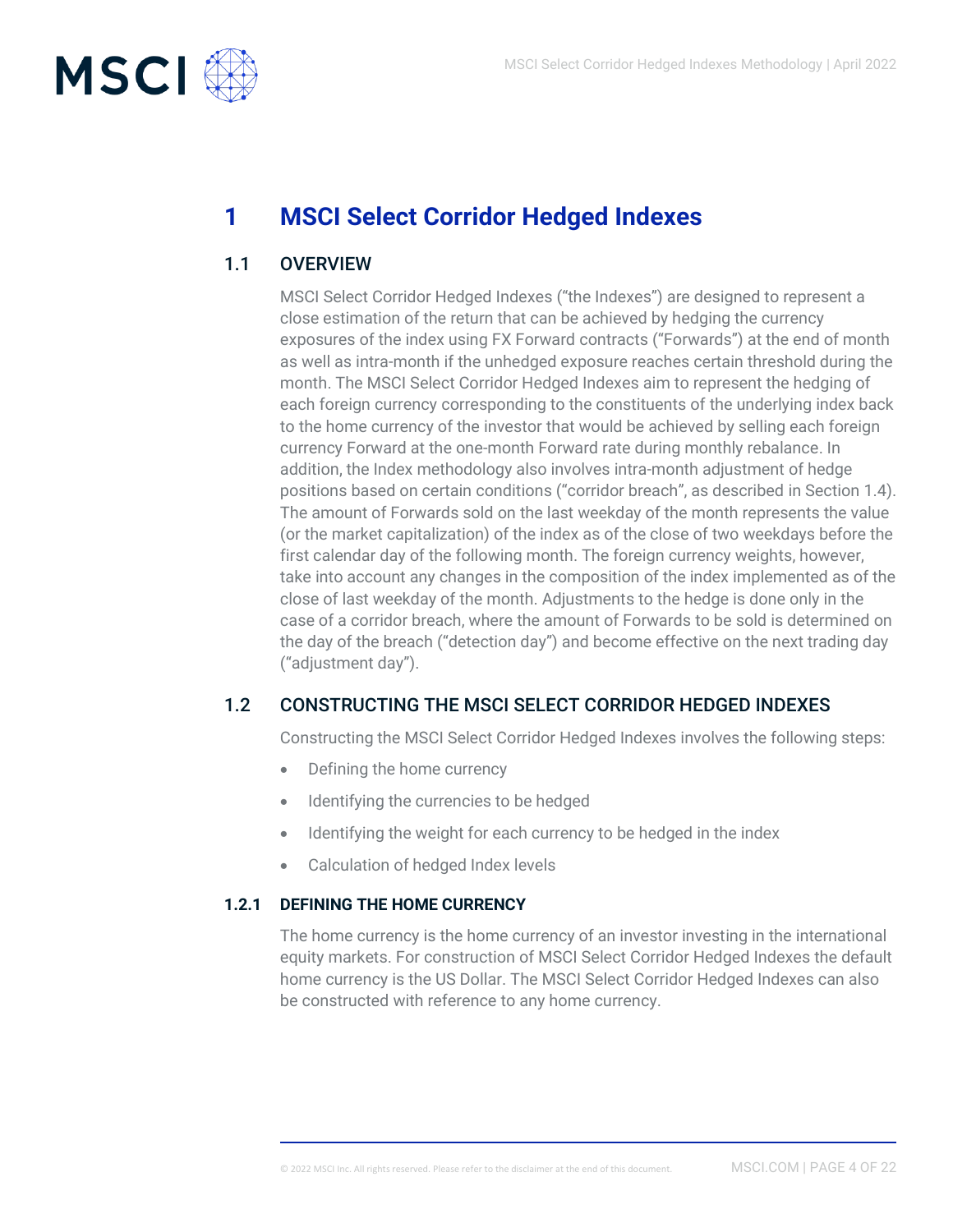

# <span id="page-3-0"></span>**1 MSCI Select Corridor Hedged Indexes**

## 1.1 OVERVIEW

<span id="page-3-1"></span>MSCI Select Corridor Hedged Indexes ("the Indexes") are designed to represent a close estimation of the return that can be achieved by hedging the currency exposures of the index using FX Forward contracts ("Forwards") at the end of month as well as intra-month if the unhedged exposure reaches certain threshold during the month. The MSCI Select Corridor Hedged Indexes aim to represent the hedging of each foreign currency corresponding to the constituents of the underlying index back to the home currency of the investor that would be achieved by selling each foreign currency Forward at the one-month Forward rate during monthly rebalance. In addition, the Index methodology also involves intra-month adjustment of hedge positions based on certain conditions ("corridor breach", as described in Section 1.4). The amount of Forwards sold on the last weekday of the month represents the value (or the market capitalization) of the index as of the close of two weekdays before the first calendar day of the following month. The foreign currency weights, however, take into account any changes in the composition of the index implemented as of the close of last weekday of the month. Adjustments to the hedge is done only in the case of a corridor breach, where the amount of Forwards to be sold is determined on the day of the breach ("detection day") and become effective on the next trading day ("adjustment day").

## 1.2 CONSTRUCTING THE MSCI SELECT CORRIDOR HEDGED INDEXES

<span id="page-3-2"></span>Constructing the MSCI Select Corridor Hedged Indexes involves the following steps:

- Defining the home currency
- Identifying the currencies to be hedged
- Identifying the weight for each currency to be hedged in the index
- <span id="page-3-3"></span>• Calculation of hedged Index levels

#### **1.2.1 DEFINING THE HOME CURRENCY**

The home currency is the home currency of an investor investing in the international equity markets. For construction of MSCI Select Corridor Hedged Indexes the default home currency is the US Dollar. The MSCI Select Corridor Hedged Indexes can also be constructed with reference to any home currency.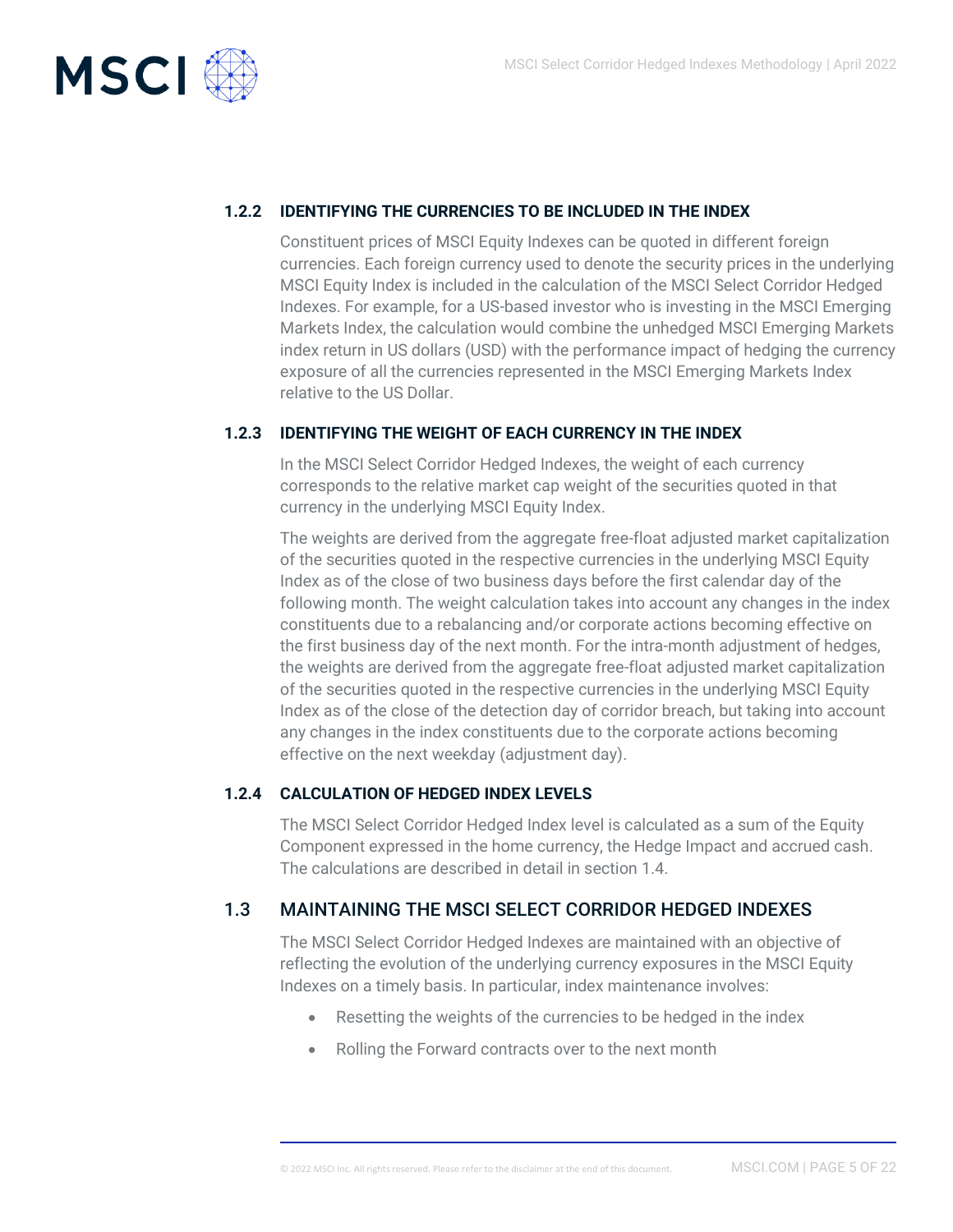

#### **1.2.2 IDENTIFYING THE CURRENCIES TO BE INCLUDED IN THE INDEX**

<span id="page-4-0"></span>Constituent prices of MSCI Equity Indexes can be quoted in different foreign currencies. Each foreign currency used to denote the security prices in the underlying MSCI Equity Index is included in the calculation of the MSCI Select Corridor Hedged Indexes. For example, for a US-based investor who is investing in the MSCI Emerging Markets Index, the calculation would combine the unhedged MSCI Emerging Markets index return in US dollars (USD) with the performance impact of hedging the currency exposure of all the currencies represented in the MSCI Emerging Markets Index relative to the US Dollar.

#### **1.2.3 IDENTIFYING THE WEIGHT OF EACH CURRENCY IN THE INDEX**

<span id="page-4-1"></span>In the MSCI Select Corridor Hedged Indexes, the weight of each currency corresponds to the relative market cap weight of the securities quoted in that currency in the underlying MSCI Equity Index.

The weights are derived from the aggregate free-float adjusted market capitalization of the securities quoted in the respective currencies in the underlying MSCI Equity Index as of the close of two business days before the first calendar day of the following month. The weight calculation takes into account any changes in the index constituents due to a rebalancing and/or corporate actions becoming effective on the first business day of the next month. For the intra-month adjustment of hedges, the weights are derived from the aggregate free-float adjusted market capitalization of the securities quoted in the respective currencies in the underlying MSCI Equity Index as of the close of the detection day of corridor breach, but taking into account any changes in the index constituents due to the corporate actions becoming effective on the next weekday (adjustment day).

#### **1.2.4 CALCULATION OF HEDGED INDEX LEVELS**

<span id="page-4-2"></span>The MSCI Select Corridor Hedged Index level is calculated as a sum of the Equity Component expressed in the home currency, the Hedge Impact and accrued cash. The calculations are described in detail in section 1.4.

#### 1.3 MAINTAINING THE MSCI SELECT CORRIDOR HEDGED INDEXES

<span id="page-4-3"></span>The MSCI Select Corridor Hedged Indexes are maintained with an objective of reflecting the evolution of the underlying currency exposures in the MSCI Equity Indexes on a timely basis. In particular, index maintenance involves:

- Resetting the weights of the currencies to be hedged in the index
- Rolling the Forward contracts over to the next month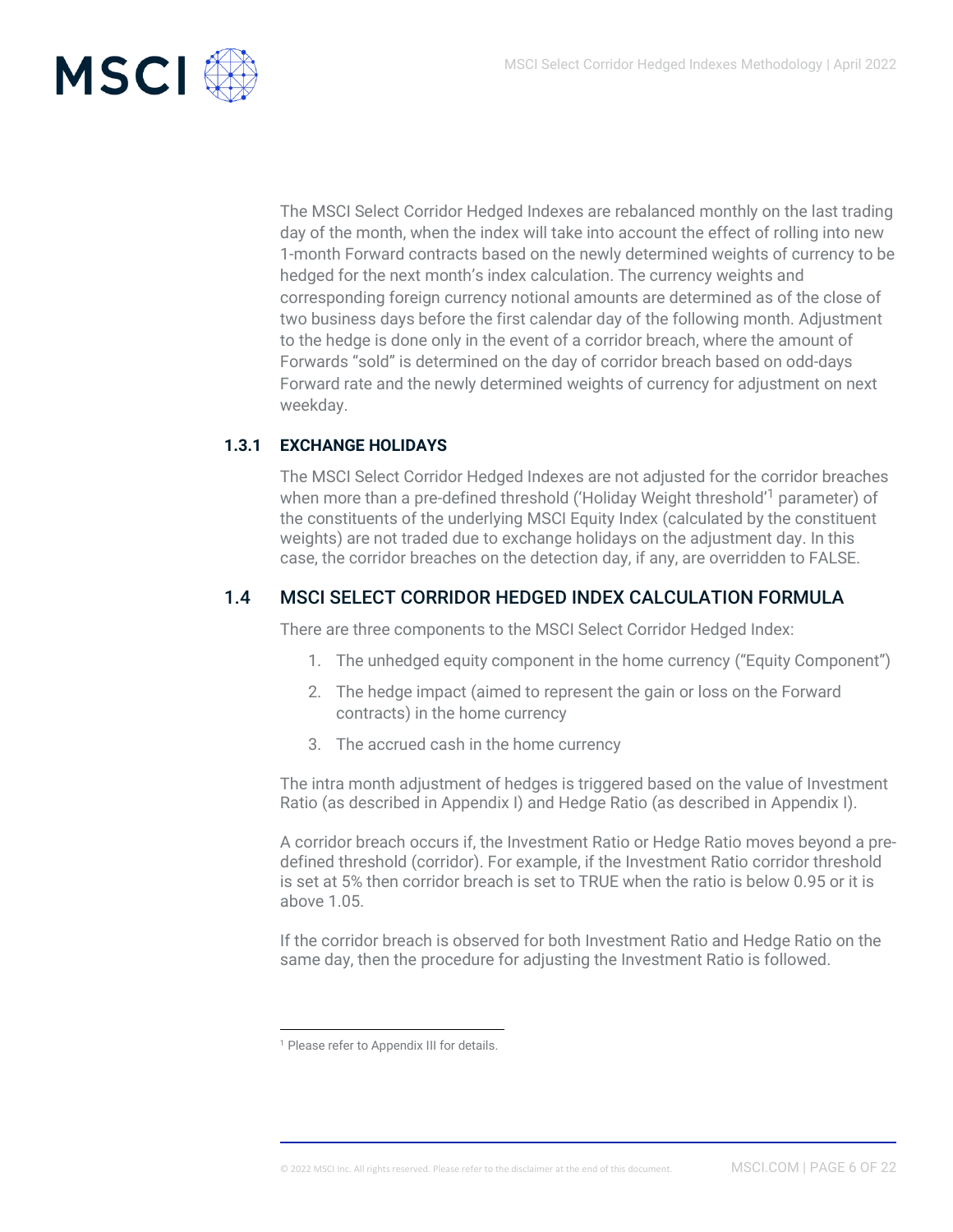

The MSCI Select Corridor Hedged Indexes are rebalanced monthly on the last trading day of the month, when the index will take into account the effect of rolling into new 1-month Forward contracts based on the newly determined weights of currency to be hedged for the next month's index calculation. The currency weights and corresponding foreign currency notional amounts are determined as of the close of two business days before the first calendar day of the following month. Adjustment to the hedge is done only in the event of a corridor breach, where the amount of Forwards "sold" is determined on the day of corridor breach based on odd-days Forward rate and the newly determined weights of currency for adjustment on next weekday.

#### **1.3.1 EXCHANGE HOLIDAYS**

<span id="page-5-0"></span>The MSCI Select Corridor Hedged Indexes are not adjusted for the corridor breaches when more than a pre-defined threshold ('Holiday Weight threshold'<sup>1</sup> parameter) of the constituents of the underlying MSCI Equity Index (calculated by the constituent weights) are not traded due to exchange holidays on the adjustment day. In this case, the corridor breaches on the detection day, if any, are overridden to FALSE.

#### 1.4 MSCI SELECT CORRIDOR HEDGED INDEX CALCULATION FORMULA

<span id="page-5-1"></span>There are three components to the MSCI Select Corridor Hedged Index:

- 1. The unhedged equity component in the home currency ("Equity Component")
- 2. The hedge impact (aimed to represent the gain or loss on the Forward contracts) in the home currency
- 3. The accrued cash in the home currency

The intra month adjustment of hedges is triggered based on the value of Investment Ratio (as described in Appendix I) and Hedge Ratio (as described in Appendix I).

A corridor breach occurs if, the Investment Ratio or Hedge Ratio moves beyond a predefined threshold (corridor). For example, if the Investment Ratio corridor threshold is set at 5% then corridor breach is set to TRUE when the ratio is below 0.95 or it is above 1.05.

If the corridor breach is observed for both Investment Ratio and Hedge Ratio on the same day, then the procedure for adjusting the Investment Ratio is followed.

<sup>&</sup>lt;sup>1</sup> Please refer to Appendix III for details.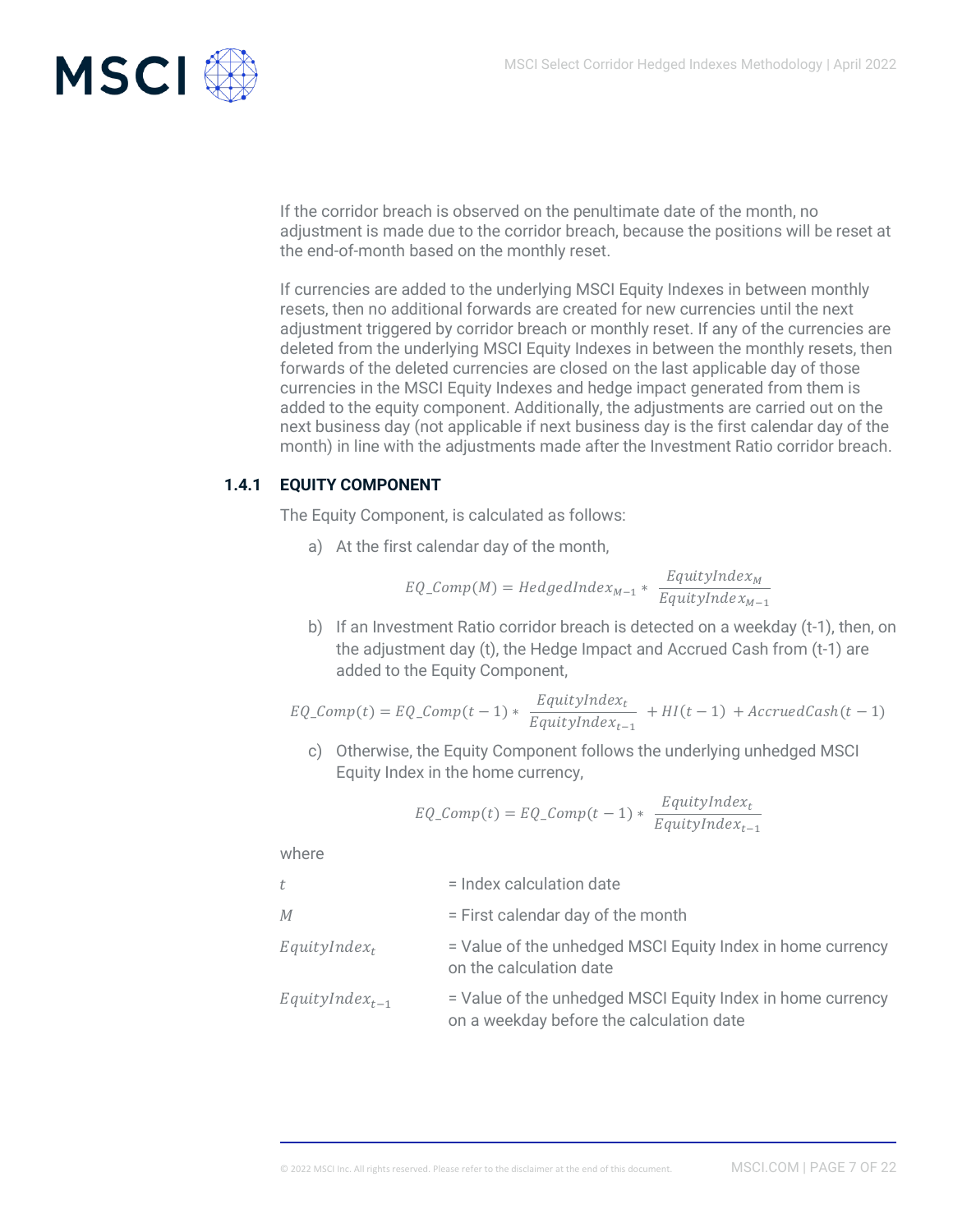

If the corridor breach is observed on the penultimate date of the month, no adjustment is made due to the corridor breach, because the positions will be reset at the end-of-month based on the monthly reset.

If currencies are added to the underlying MSCI Equity Indexes in between monthly resets, then no additional forwards are created for new currencies until the next adjustment triggered by corridor breach or monthly reset. If any of the currencies are deleted from the underlying MSCI Equity Indexes in between the monthly resets, then forwards of the deleted currencies are closed on the last applicable day of those currencies in the MSCI Equity Indexes and hedge impact generated from them is added to the equity component. Additionally, the adjustments are carried out on the next business day (not applicable if next business day is the first calendar day of the month) in line with the adjustments made after the Investment Ratio corridor breach.

#### **1.4.1 EQUITY COMPONENT**

<span id="page-6-0"></span>The Equity Component, is calculated as follows:

a) At the first calendar day of the month,

$$
EQ\_Comp(M) = HedgedIndex_{M-1} * \frac{EquityIndex_{M}}{EquityIndex_{M-1}}
$$

b) If an Investment Ratio corridor breach is detected on a weekday (t-1), then, on the adjustment day (t), the Hedge Impact and Accrued Cash from (t-1) are added to the Equity Component,

$$
EQ\_Comp(t) = EQ\_Comp(t-1) * \frac{EquityIndex_t}{EquityIndex_{t-1}} + HI(t-1) + AccruedCash(t-1)
$$

c) Otherwise, the Equity Component follows the underlying unhedged MSCI Equity Index in the home currency,

$$
EQ\_Comp(t) = EQ\_Comp(t-1) * \frac{EquityIndex_t}{EquityIndex_{t-1}}
$$

where

| t                   | = Index calculation date                                                                               |
|---------------------|--------------------------------------------------------------------------------------------------------|
| М                   | = First calendar day of the month                                                                      |
| $EquityIndex_t$     | = Value of the unhedged MSCI Equity Index in home currency<br>on the calculation date                  |
| $EquityIndex_{t-1}$ | = Value of the unhedged MSCI Equity Index in home currency<br>on a weekday before the calculation date |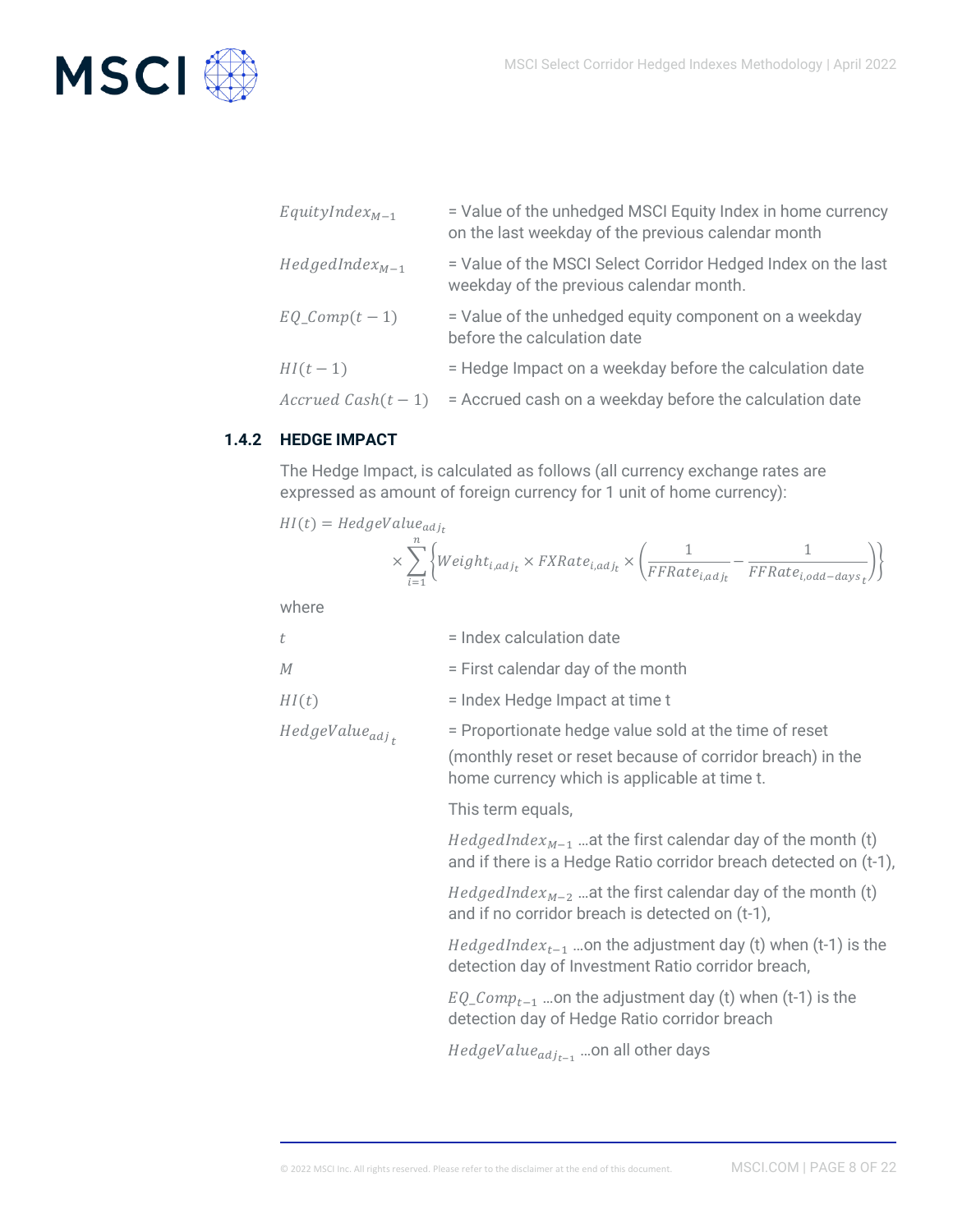

| $EquityIndex_{M-1}$  | = Value of the unhedged MSCI Equity Index in home currency<br>on the last weekday of the previous calendar month |
|----------------------|------------------------------------------------------------------------------------------------------------------|
| $HedgeIndex_{M-1}$   | = Value of the MSCI Select Corridor Hedged Index on the last<br>weekday of the previous calendar month.          |
| $EQ\text{Comp}(t-1)$ | = Value of the unhedged equity component on a weekday<br>before the calculation date                             |
| $HI(t-1)$            | = Hedge Impact on a weekday before the calculation date                                                          |
| Accrued Cash $(t-1)$ | = Accrued cash on a weekday before the calculation date                                                          |

#### **1.4.2 HEDGE IMPACT**

<span id="page-7-0"></span>The Hedge Impact, is calculated as follows (all currency exchange rates are expressed as amount of foreign currency for 1 unit of home currency):

$$
HI(t) = HedgeValue_{adj_t}
$$
  
 
$$
\times \sum_{i=1}^{n} \left\{ Weight_{i,adj_t} \times FXRate_{i,adj_t} \times \left( \frac{1}{FFRate_{i,adj_t}} - \frac{1}{FFRate_{i,odd-days_t}} \right) \right\}
$$

where

| t                          | = Index calculation date                                                                                                                                            |  |  |
|----------------------------|---------------------------------------------------------------------------------------------------------------------------------------------------------------------|--|--|
| М                          | = First calendar day of the month                                                                                                                                   |  |  |
| HI(t)                      | = Index Hedge Impact at time t                                                                                                                                      |  |  |
| HedgeValue <sub>adj,</sub> | = Proportionate hedge value sold at the time of reset<br>(monthly reset or reset because of corridor breach) in the<br>home currency which is applicable at time t. |  |  |
|                            | This term equals,                                                                                                                                                   |  |  |
|                            | <i>HedgedIndex<sub>M-1</sub></i> at the first calendar day of the month (t)<br>and if there is a Hedge Ratio corridor breach detected on (t-1),                     |  |  |
|                            | <i>HedgedIndex<sub>M-2</sub></i> at the first calendar day of the month (t)<br>and if no corridor breach is detected on (t-1),                                      |  |  |
|                            | <i>HedgedIndex<sub>t-1</sub></i> on the adjustment day (t) when (t-1) is the<br>detection day of Investment Ratio corridor breach,                                  |  |  |
|                            | $EQ\_{Comp_{t-1}}$ on the adjustment day (t) when (t-1) is the<br>detection day of Hedge Ratio corridor breach                                                      |  |  |
|                            | HedgeValue <sub>adjt-1</sub> on all other days                                                                                                                      |  |  |
|                            |                                                                                                                                                                     |  |  |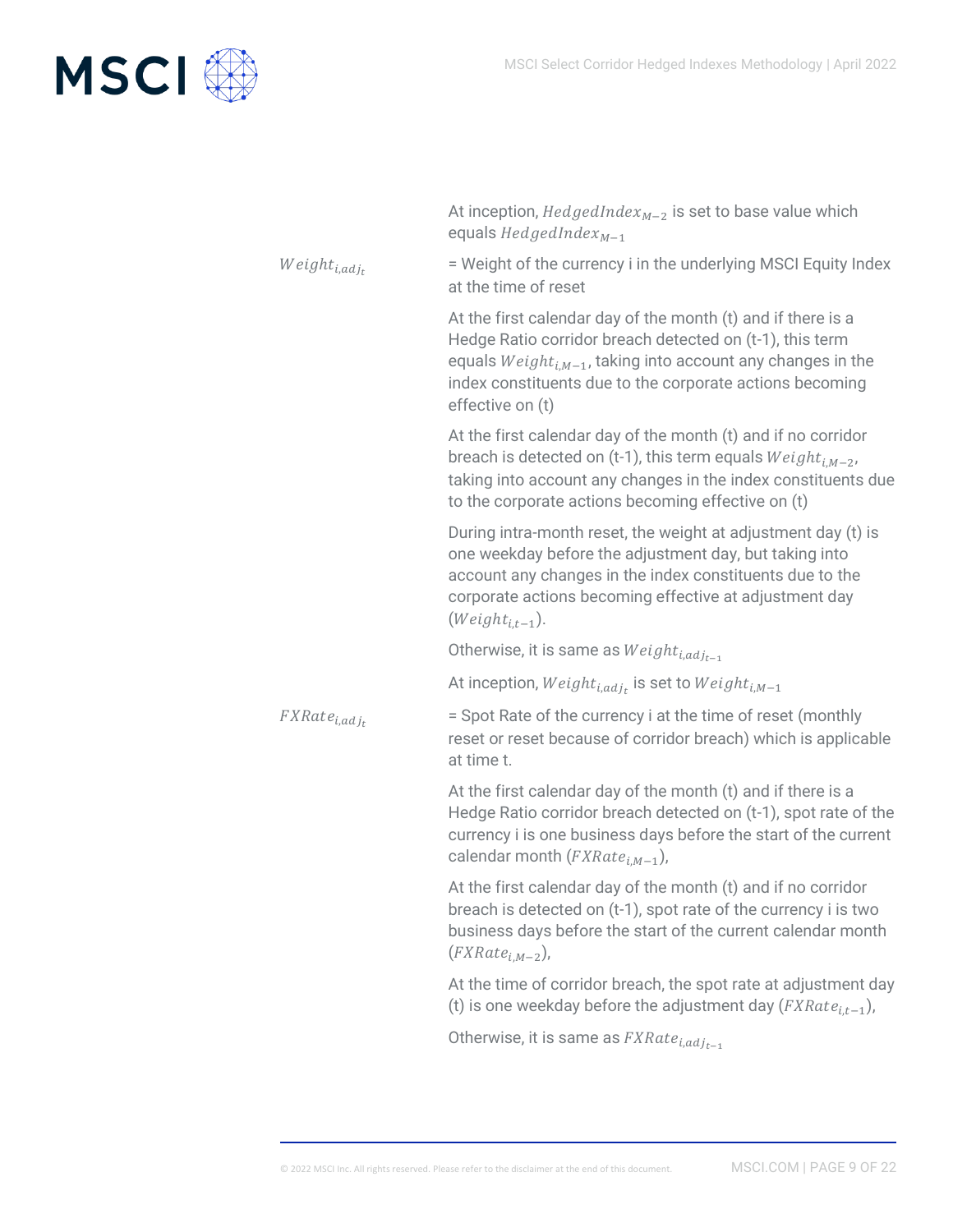

|                          | At inception, $HedgeIndex_{M-2}$ is set to base value which<br>equals $HedgeIndex_{M-1}$                                                                                                                                                                                     |
|--------------------------|------------------------------------------------------------------------------------------------------------------------------------------------------------------------------------------------------------------------------------------------------------------------------|
| $Weight_{i,adj_t}$       | = Weight of the currency i in the underlying MSCI Equity Index<br>at the time of reset                                                                                                                                                                                       |
|                          | At the first calendar day of the month (t) and if there is a<br>Hedge Ratio corridor breach detected on (t-1), this term<br>equals $Weight_{i,M-1}$ , taking into account any changes in the<br>index constituents due to the corporate actions becoming<br>effective on (t) |
|                          | At the first calendar day of the month (t) and if no corridor<br>breach is detected on (t-1), this term equals $Weight_{i,M-2}$ ,<br>taking into account any changes in the index constituents due<br>to the corporate actions becoming effective on (t)                     |
|                          | During intra-month reset, the weight at adjustment day (t) is<br>one weekday before the adjustment day, but taking into<br>account any changes in the index constituents due to the<br>corporate actions becoming effective at adjustment day<br>$(Weight_{i,t-1}).$         |
|                          | Otherwise, it is same as $Weight_{i,adj_{t-1}}$                                                                                                                                                                                                                              |
|                          | At inception, $Weight_{i,adj_t}$ is set to $Weight_{i,M-1}$                                                                                                                                                                                                                  |
| FXRate <sub>i,adjt</sub> | = Spot Rate of the currency i at the time of reset (monthly<br>reset or reset because of corridor breach) which is applicable<br>at time t.                                                                                                                                  |
|                          | At the first calendar day of the month (t) and if there is a<br>Hedge Ratio corridor breach detected on (t-1), spot rate of the<br>currency i is one business days before the start of the current<br>calendar month $(FXRatei,M-1)$ ,                                       |
|                          | At the first calendar day of the month (t) and if no corridor<br>breach is detected on (t-1), spot rate of the currency i is two<br>business days before the start of the current calendar month<br>$(FXRatei.M-2)$ ,                                                        |
|                          | At the time of corridor breach, the spot rate at adjustment day<br>(t) is one weekday before the adjustment day $(FXRate_{i,t-1})$ ,                                                                                                                                         |
|                          | Otherwise, it is same as $FXRate_{i,adj_{t-1}}$                                                                                                                                                                                                                              |
|                          |                                                                                                                                                                                                                                                                              |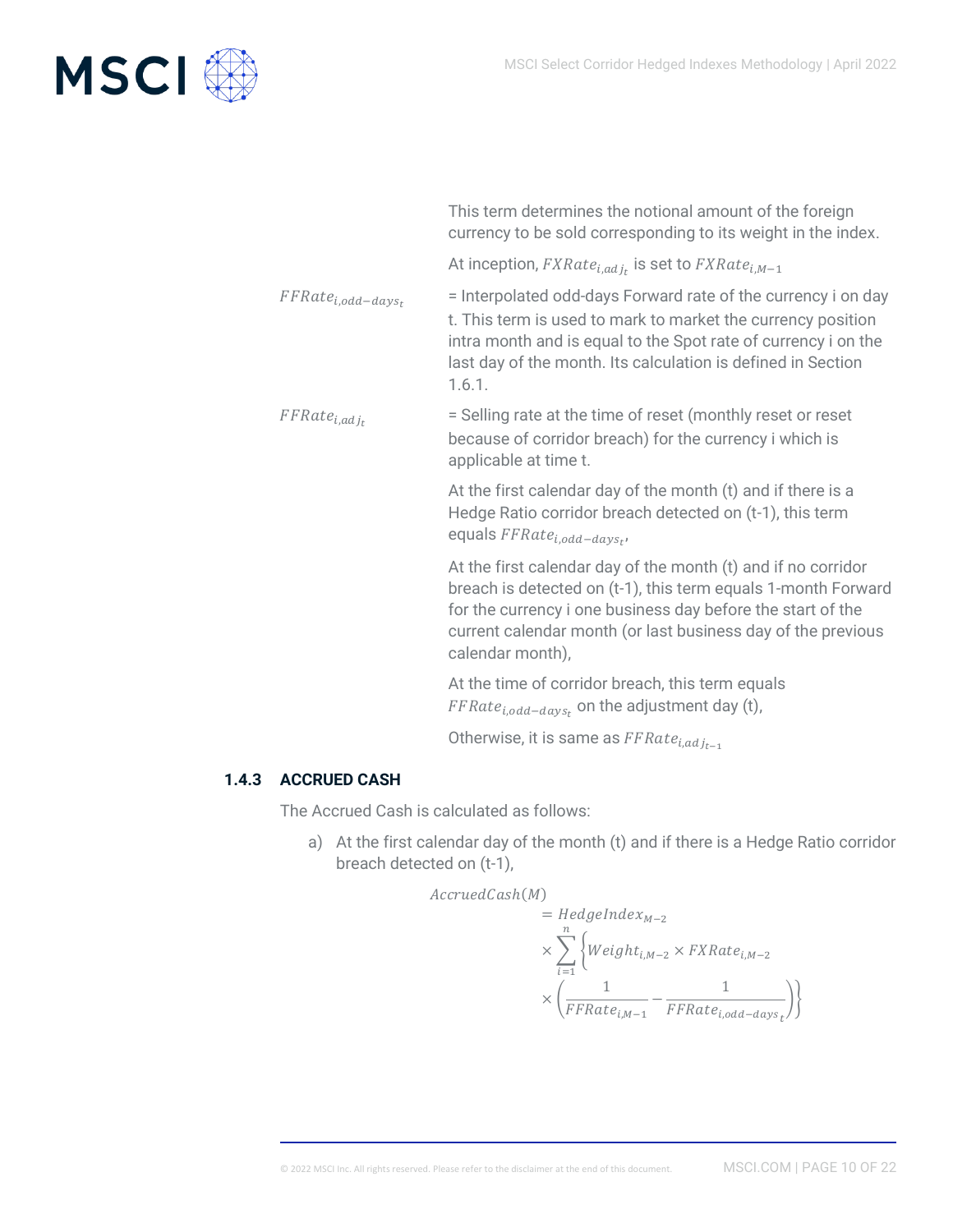

This term determines the notional amount of the foreign currency to be sold corresponding to its weight in the index.

At inception,  $\mathit{FXRate}_{i,adj_t}$  is set to  $\mathit{FXRate}_{i,M-1}$ 

= Interpolated odd-days Forward rate of the currency i on day t. This term is used to mark to market the currency position intra month and is equal to the Spot rate of currency i on the last day of the month. Its calculation is defined in Section 1.6.1.

= Selling rate at the time of reset (monthly reset or reset because of corridor breach) for the currency i which is applicable at time t.

At the first calendar day of the month (t) and if there is a Hedge Ratio corridor breach detected on (t-1), this term equals  $FFRate_{i,odd-days_t}$ ,

At the first calendar day of the month (t) and if no corridor breach is detected on (t-1), this term equals 1-month Forward for the currency i one business day before the start of the current calendar month (or last business day of the previous calendar month),

At the time of corridor breach, this term equals  $\mathit{FFRate}_{i,odd-days_t}$  on the adjustment day (t),

Otherwise, it is same as  $FFRate_{i,adj_{t-1}}$ 

#### **1.4.3 ACCRUED CASH**

 $FFRate_{i,odd-days_t}$ 

 $FFRate_{i,adj_t}$ 

<span id="page-9-0"></span>The Accrued Cash is calculated as follows:

a) At the first calendar day of the month (t) and if there is a Hedge Ratio corridor breach detected on (t-1),

 $AccruedCash(M)$ 

$$
= Hedgelndex_{M-2}
$$
\n
$$
\times \sum_{i=1}^{n} \left\{ Weight_{i,M-2} \times FXRate_{i,M-2} \right\}
$$
\n
$$
\times \left( \frac{1}{FFRate_{i,M-1}} - \frac{1}{FFRate_{i,odd-days_t}} \right) \right\}
$$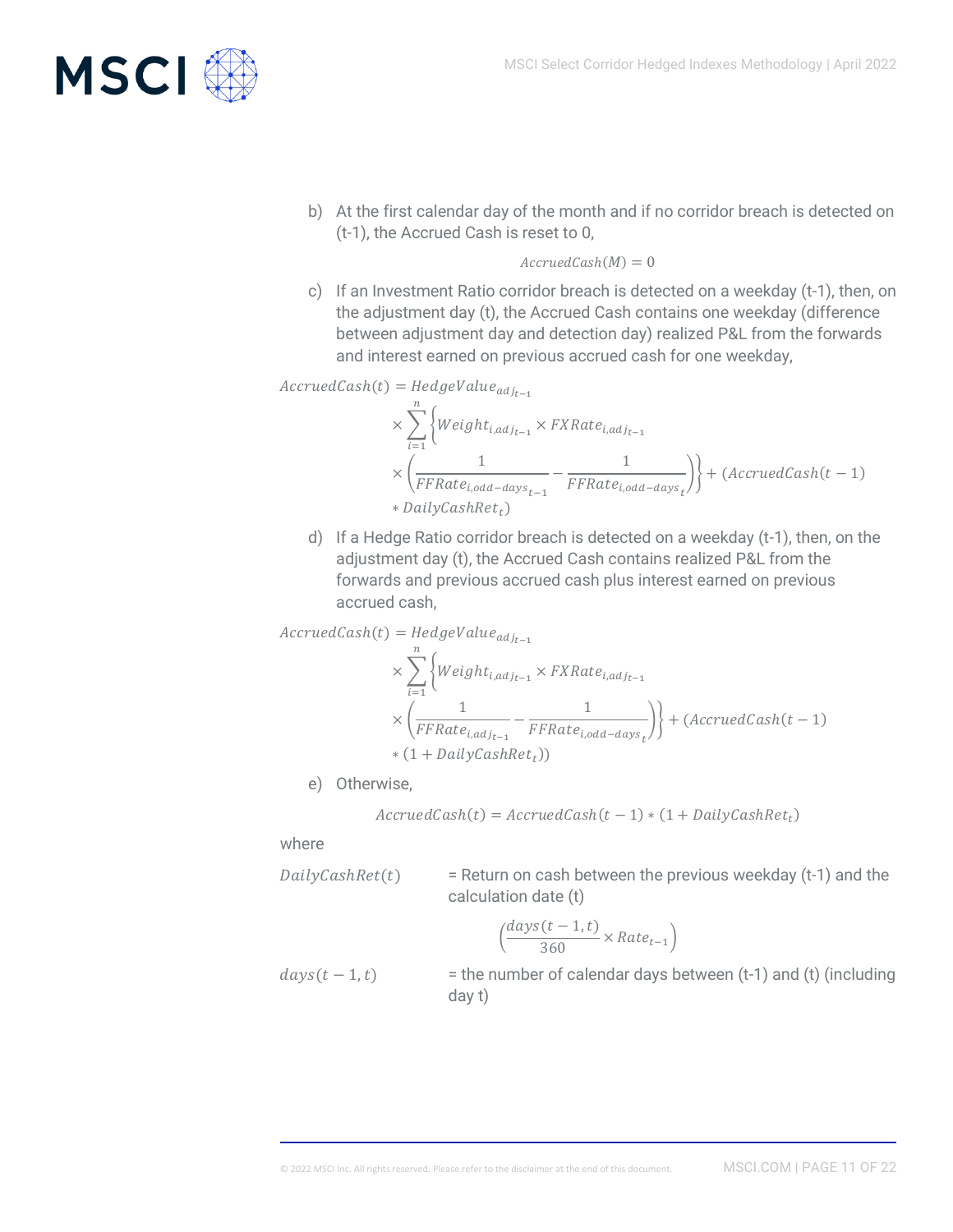

b) At the first calendar day of the month and if no corridor breach is detected on (t-1), the Accrued Cash is reset to 0,

#### $AccruedCash(M) = 0$

c) If an Investment Ratio corridor breach is detected on a weekday (t-1), then, on the adjustment day (t), the Accrued Cash contains one weekday (difference between adjustment day and detection day) realized P&L from the forwards and interest earned on previous accrued cash for one weekday,

$$
AccruedCash(t) = HedgeValue_{adj_{t-1}}
$$

$$
\times \sum_{i=1}^{n} \left\{ Weight_{i,adj_{t-1}} \times FXRate_{i,adj_{t-1}} \right\}
$$
  
 
$$
\times \left( \frac{1}{FFRate_{i,odd-days_{t-1}}} - \frac{1}{FFRate_{i,odd-days_{t}}} \right) \right\} + (AccruedCash(t-1))
$$
  
 
$$
* DailyCashRet_t)
$$

d) If a Hedge Ratio corridor breach is detected on a weekday (t-1), then, on the adjustment day (t), the Accrued Cash contains realized P&L from the forwards and previous accrued cash plus interest earned on previous accrued cash,

$$
AccruedCash(t) = HedgeValue_{adj_{t-1}}
$$
\n
$$
\times \sum_{i=1}^{n} \left\{ Weight_{i,adj_{t-1}} \times FXRate_{i,adj_{t-1}} \right\}
$$
\n
$$
\times \left( \frac{1}{FFRate_{i,adj_{t-1}}} - \frac{1}{FFRate_{i,odd-days_t}} \right) \right\} + (AccruedCash(t-1))
$$
\n
$$
\times (1 + DailyCashRet_t))
$$

e) Otherwise,

$$
AccruedCash(t) = AccruedCash(t-1) * (1 + DailyCashRet_t)
$$

where

 $DailyCashRet(t)$  = Return on cash between the previous weekday (t-1) and the calculation date (t)

$$
\left(\frac{days(t-1,t)}{360}\times Rate_{t-1}\right)
$$

 $days(t - 1,t)$  = the number of calendar days between (t-1) and (t) (including day t)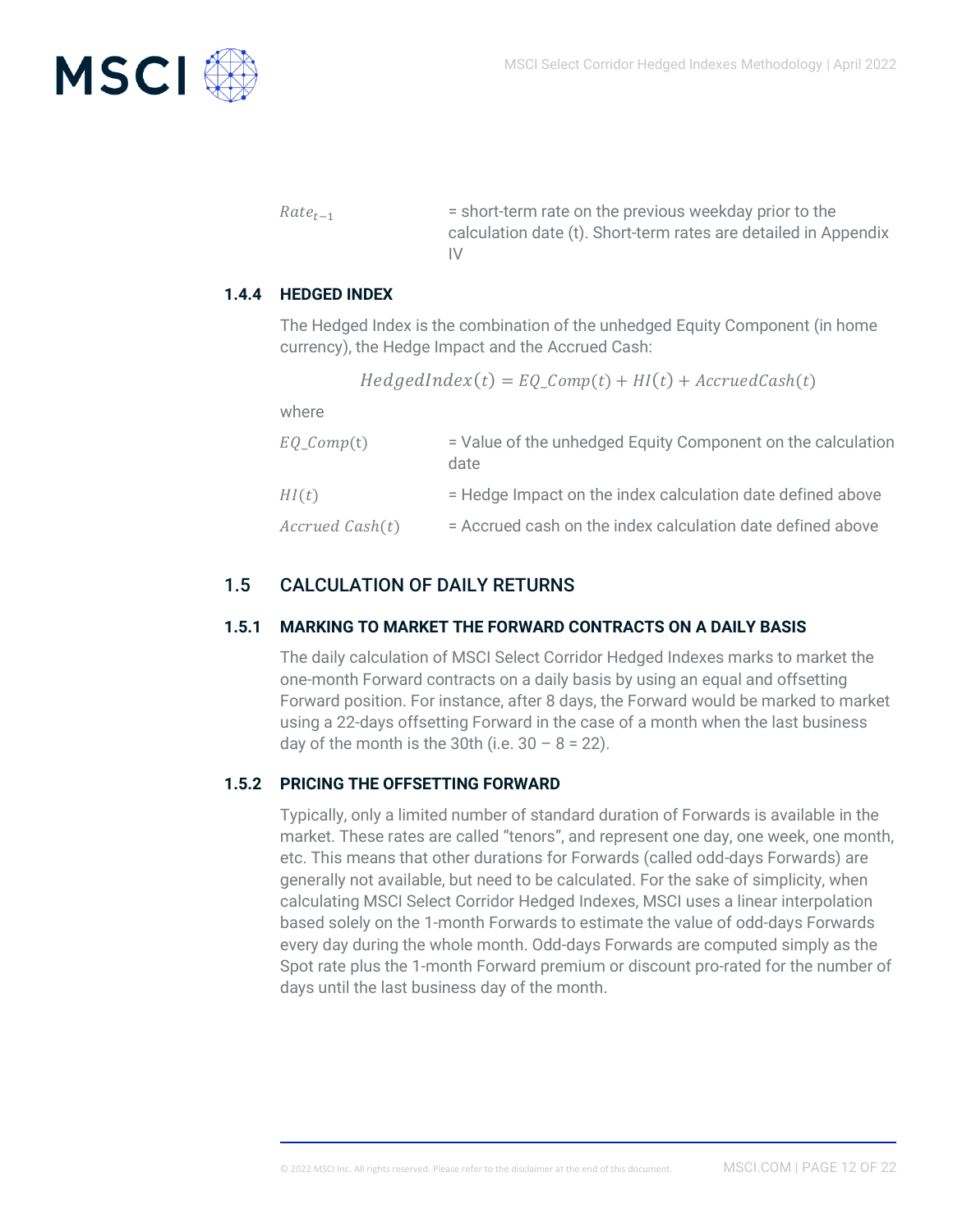

 $Rate_{t-1}$  = short-term rate on the previous weekday prior to the calculation date (t). Short-term rates are detailed in Appendix IV

#### **1.4.4 HEDGED INDEX**

<span id="page-11-0"></span>The Hedged Index is the combination of the unhedged Equity Component (in home currency), the Hedge Impact and the Accrued Cash:

 $Hedged\nupedIndex(t) = EQ_{Comp}(t) + HI(t) + AccruedCash(t)$ 

where

| EQ_Comp(t)      | = Value of the unhedged Equity Component on the calculation<br>date |
|-----------------|---------------------------------------------------------------------|
| HI(t)           | = Hedge Impact on the index calculation date defined above          |
| Accrued Cash(t) | = Accrued cash on the index calculation date defined above          |

#### <span id="page-11-1"></span>1.5 CALCULATION OF DAILY RETURNS

#### **1.5.1 MARKING TO MARKET THE FORWARD CONTRACTS ON A DAILY BASIS**

<span id="page-11-2"></span>The daily calculation of MSCI Select Corridor Hedged Indexes marks to market the one-month Forward contracts on a daily basis by using an equal and offsetting Forward position. For instance, after 8 days, the Forward would be marked to market using a 22-days offsetting Forward in the case of a month when the last business day of the month is the 30th (i.e.  $30 - 8 = 22$ ).

#### **1.5.2 PRICING THE OFFSETTING FORWARD**

<span id="page-11-3"></span>Typically, only a limited number of standard duration of Forwards is available in the market. These rates are called "tenors", and represent one day, one week, one month, etc. This means that other durations for Forwards (called odd-days Forwards) are generally not available, but need to be calculated. For the sake of simplicity, when calculating MSCI Select Corridor Hedged Indexes, MSCI uses a linear interpolation based solely on the 1-month Forwards to estimate the value of odd-days Forwards every day during the whole month. Odd-days Forwards are computed simply as the Spot rate plus the 1-month Forward premium or discount pro-rated for the number of days until the last business day of the month.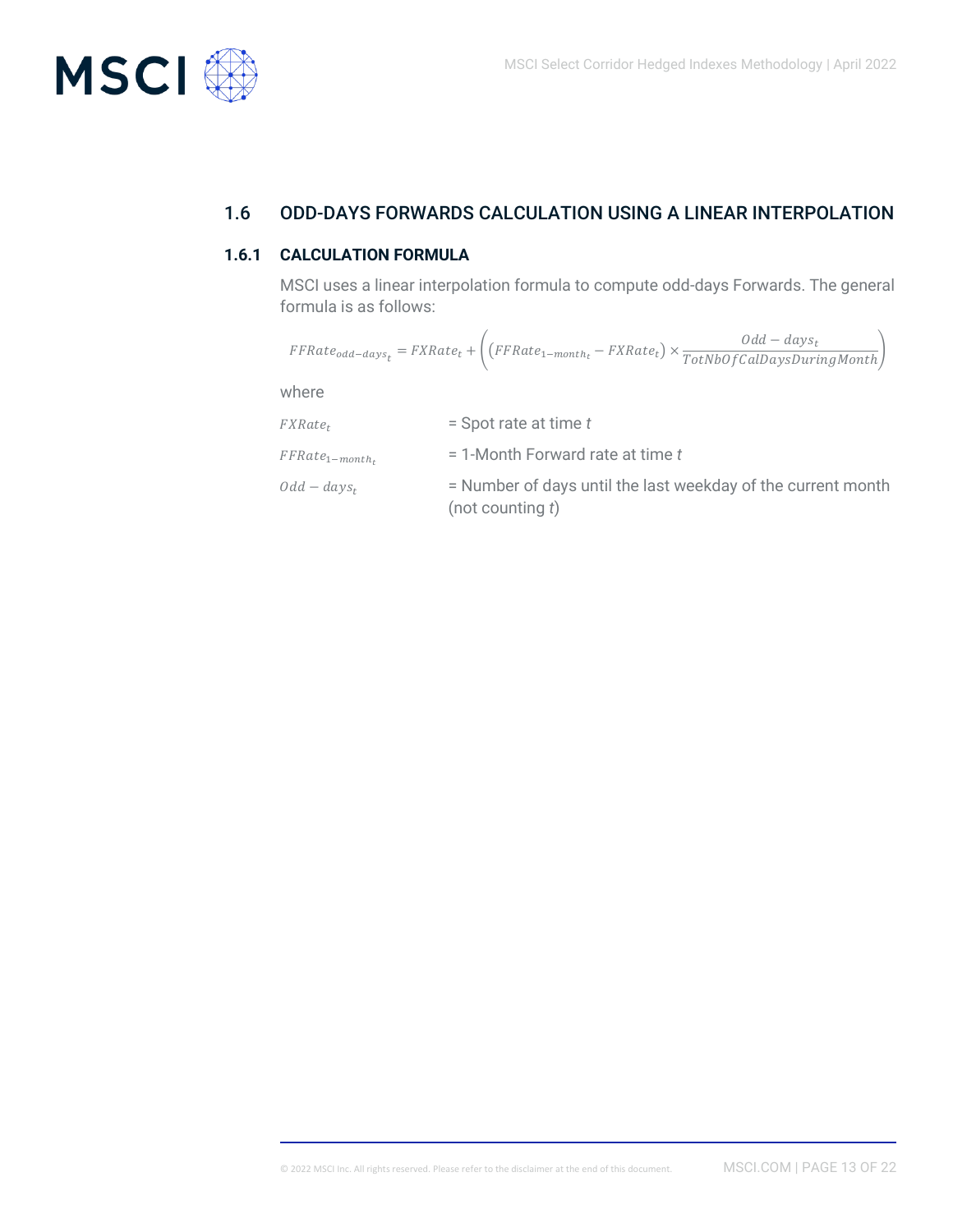

## <span id="page-12-0"></span>1.6 ODD-DAYS FORWARDS CALCULATION USING A LINEAR INTERPOLATION

#### **1.6.1 CALCULATION FORMULA**

<span id="page-12-1"></span>MSCI uses a linear interpolation formula to compute odd-days Forwards. The general formula is as follows:

|                      | $\label{eq:FFRate} \small \small \mathit{FFRate}_{odd-days_t} = \small \small \mathit{FXRate}_t + \Bigg( \big( \small \mathit{FFRate}_{1-month_t} - \small \mathit{FXRate}_t \big) \times \frac{Odd - days_t}{TotNbOfCalDay\text{DuringMonth}} \Bigg)$ |
|----------------------|--------------------------------------------------------------------------------------------------------------------------------------------------------------------------------------------------------------------------------------------------------|
| where                |                                                                                                                                                                                                                                                        |
| $FXRate_t$           | $=$ Spot rate at time t                                                                                                                                                                                                                                |
| $FFRate_{1-month_t}$ | $=$ 1-Month Forward rate at time t                                                                                                                                                                                                                     |
| $Odd - days_t$       | = Number of days until the last weekday of the current month                                                                                                                                                                                           |

(not counting *t*)

© 2022 MSCI Inc. All rights reserved. Please refer to the disclaimer at the end of this document. MSCI.COM | PAGE 13 OF 22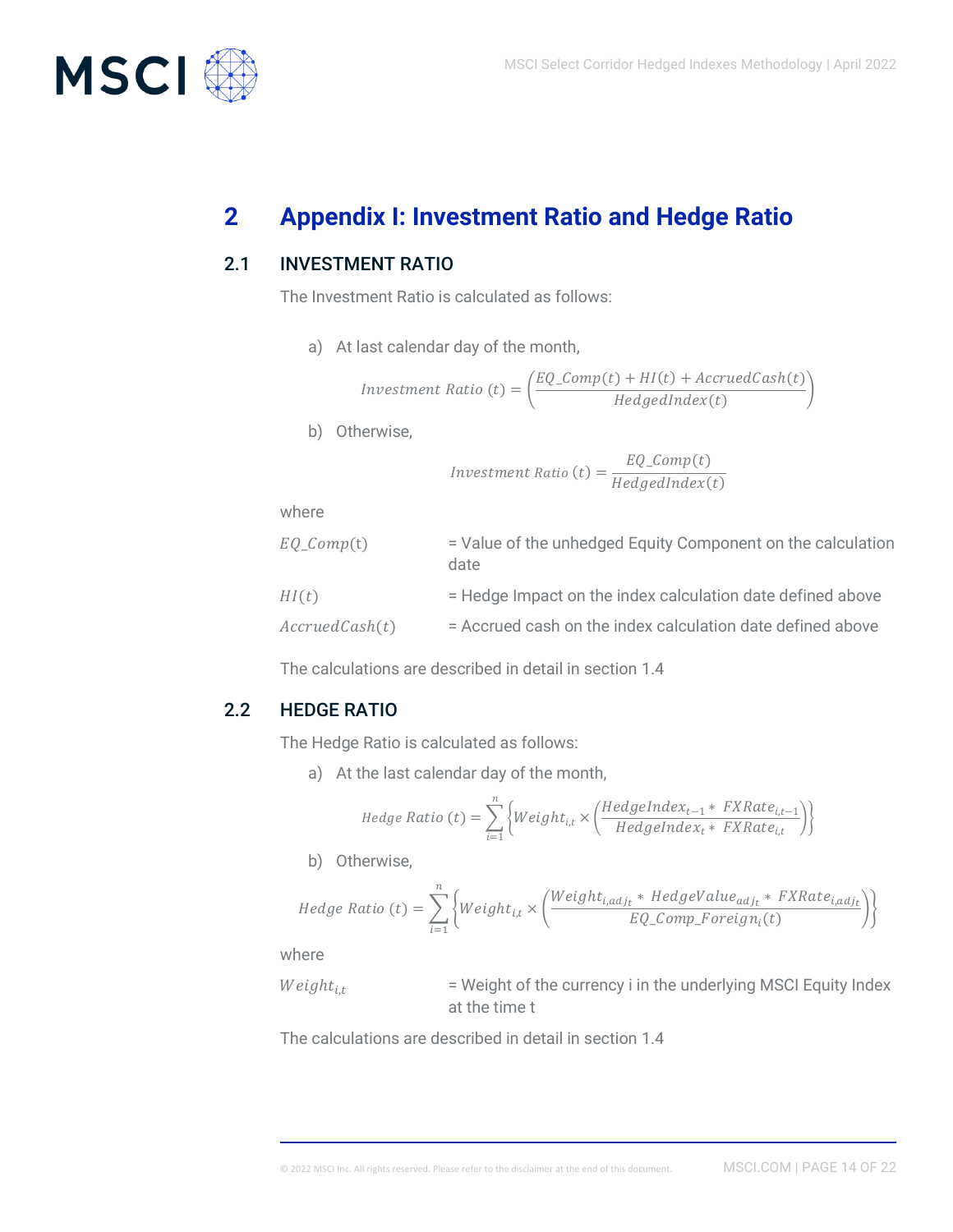

# <span id="page-13-0"></span>**2 Appendix I: Investment Ratio and Hedge Ratio**

### 2.1 INVESTMENT RATIO

<span id="page-13-1"></span>The Investment Ratio is calculated as follows:

a) At last calendar day of the month,

$$
Investment Ratio (t) = \left(\frac{EQ\_Comp(t) + HI(t) + AccruedCash(t)}{HedgedIndex(t)}\right)
$$

b) Otherwise,

Investment Ratio  $(t) = \frac{EQ\_Comp(t)}{M}$  $HedgedIndex(t)$ 

where

| $EQ\_Comp(t)$  | = Value of the unhedged Equity Component on the calculation<br>date |
|----------------|---------------------------------------------------------------------|
| HI(t)          | = Hedge Impact on the index calculation date defined above          |
| AccruedCash(t) | = Accrued cash on the index calculation date defined above          |

<span id="page-13-2"></span>The calculations are described in detail in section 1.4

#### 2.2 HEDGE RATIO

The Hedge Ratio is calculated as follows:

a) At the last calendar day of the month,

$$
Hedge Ratio (t) = \sum_{i=1}^{n} \Big\{ Weight_{i,t} \times \Big( \frac{HedgeIndex_{t-1} * FXRate_{i,t-1}}{HedgeIndex_t * FXRate_{i,t}} \Big) \Big\}
$$

b) Otherwise,

Hedge Ratio (t) = 
$$
\sum_{i=1}^{n} \left\{ Weight_{i,t} \times \left( \frac Weight_{i,adj_t} * HedgeValue_{adj_t} * FXRate_{i,adj_t}}{EQ\_Comp\_Foreign(t)} \right) \right\}
$$

where

ℎ, = Weight of the currency i in the underlying MSCI Equity Index at the time t

The calculations are described in detail in section 1.4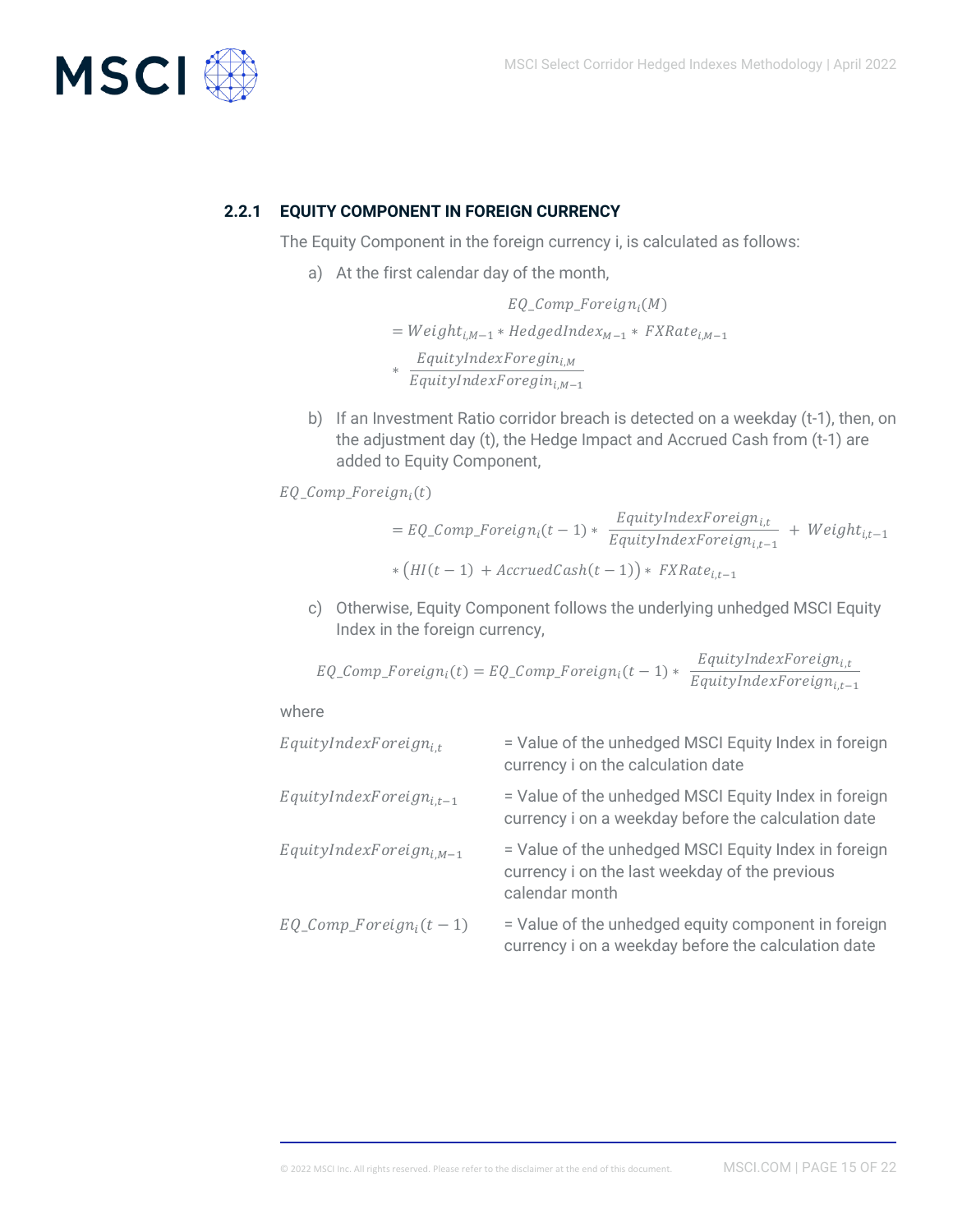

#### **2.2.1 EQUITY COMPONENT IN FOREIGN CURRENCY**

<span id="page-14-0"></span>The Equity Component in the foreign currency i, is calculated as follows:

a) At the first calendar day of the month,

$$
EQ\_Comp\_Foreign_i(M)
$$
\n
$$
= Weight_{i,M-1} * HedgedIndex_{M-1} * FXRate_{i,M-1}
$$
\n
$$
* \frac{EquityIndexForeign_{i,M}}{EquityIndexForeign_{i,M-1}}
$$

b) If an Investment Ratio corridor breach is detected on a weekday (t-1), then, on the adjustment day (t), the Hedge Impact and Accrued Cash from (t-1) are added to Equity Component,

 $EQ\_Comp\_Foreign_i(t)$ 

$$
= EQ\_Comp\_Foreign_i(t-1) * \frac{EquityIndexForeign_{i,t}}{EquityIndexForeign_{i,t-1}} + Weight_{i,t-1}
$$

$$
* (HI(t-1) + AccruedCash(t-1)) * FXRate_{i,t-1}
$$

c) Otherwise, Equity Component follows the underlying unhedged MSCI Equity Index in the foreign currency,

$$
EQ\_Comp\_Foreign_i(t) = EQ\_Comp\_Foreign_i(t-1) * \frac{EquityIndexForeign_{i,t}}{EquityIndexForeign_{i,t-1}}
$$

where

| $EquityIndexForeign_{i.t}$   | = Value of the unhedged MSCI Equity Index in foreign<br>currency i on the calculation date                               |
|------------------------------|--------------------------------------------------------------------------------------------------------------------------|
| $EquityIndexForeign_{i.t-1}$ | = Value of the unhedged MSCI Equity Index in foreign<br>currency i on a weekday before the calculation date              |
| $EquityIndexForeign_{i,M-1}$ | = Value of the unhedged MSCI Equity Index in foreign<br>currency i on the last weekday of the previous<br>calendar month |
| $EQ\_Comp\_Foreign_i(t-1)$   | = Value of the unhedged equity component in foreign<br>currency i on a weekday before the calculation date               |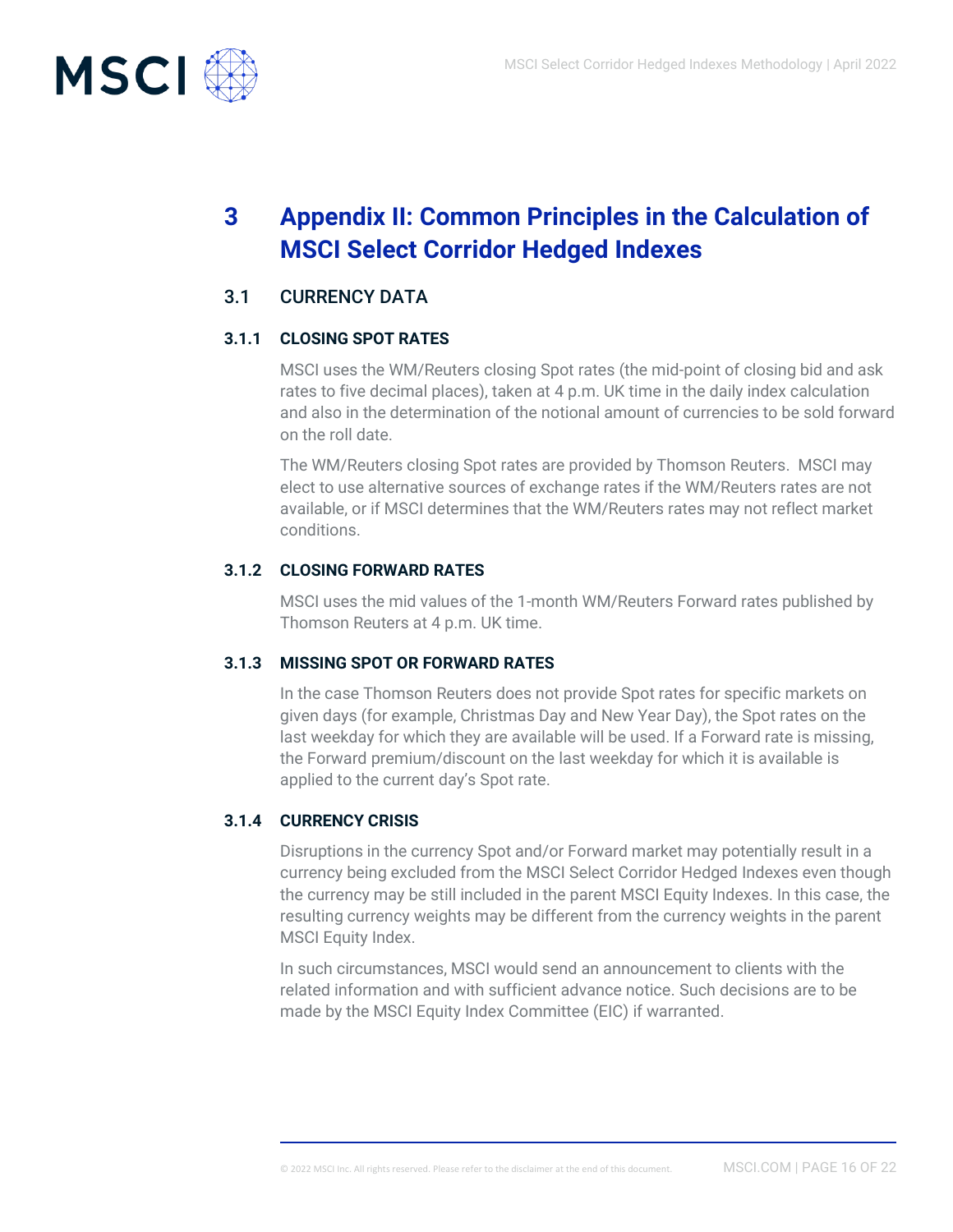

# <span id="page-15-0"></span>**3 Appendix II: Common Principles in the Calculation of MSCI Select Corridor Hedged Indexes**

## <span id="page-15-1"></span>3.1 CURRENCY DATA

#### **3.1.1 CLOSING SPOT RATES**

<span id="page-15-2"></span>MSCI uses the WM/Reuters closing Spot rates (the mid-point of closing bid and ask rates to five decimal places), taken at 4 p.m. UK time in the daily index calculation and also in the determination of the notional amount of currencies to be sold forward on the roll date.

The WM/Reuters closing Spot rates are provided by Thomson Reuters. MSCI may elect to use alternative sources of exchange rates if the WM/Reuters rates are not available, or if MSCI determines that the WM/Reuters rates may not reflect market conditions.

#### **3.1.2 CLOSING FORWARD RATES**

<span id="page-15-3"></span>MSCI uses the mid values of the 1-month WM/Reuters Forward rates published by Thomson Reuters at 4 p.m. UK time.

#### **3.1.3 MISSING SPOT OR FORWARD RATES**

<span id="page-15-4"></span>In the case Thomson Reuters does not provide Spot rates for specific markets on given days (for example, Christmas Day and New Year Day), the Spot rates on the last weekday for which they are available will be used. If a Forward rate is missing, the Forward premium/discount on the last weekday for which it is available is applied to the current day's Spot rate.

#### **3.1.4 CURRENCY CRISIS**

<span id="page-15-5"></span>Disruptions in the currency Spot and/or Forward market may potentially result in a currency being excluded from the MSCI Select Corridor Hedged Indexes even though the currency may be still included in the parent MSCI Equity Indexes. In this case, the resulting currency weights may be different from the currency weights in the parent MSCI Equity Index.

In such circumstances, MSCI would send an announcement to clients with the related information and with sufficient advance notice. Such decisions are to be made by the MSCI Equity Index Committee (EIC) if warranted.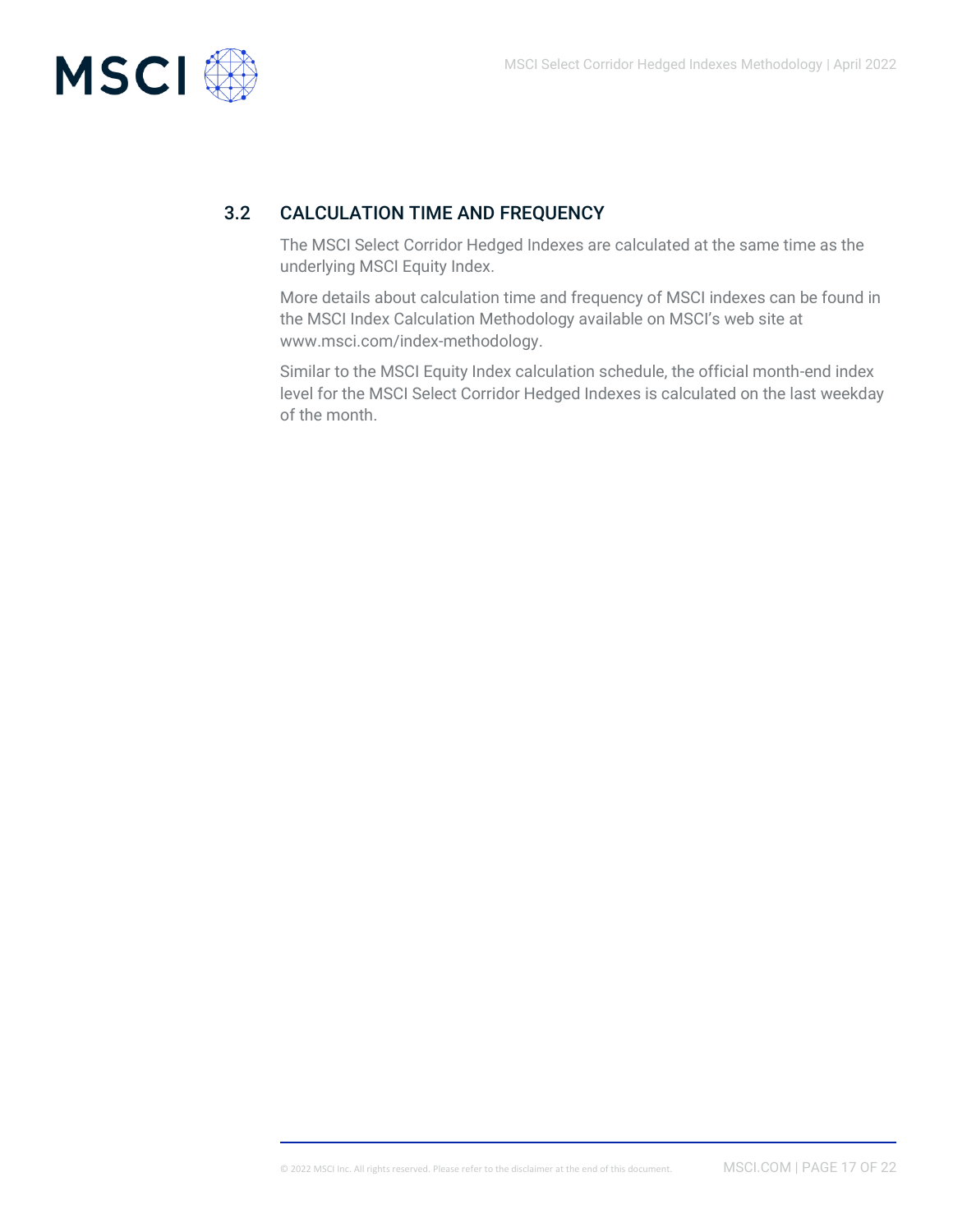

## 3.2 CALCULATION TIME AND FREQUENCY

<span id="page-16-0"></span>The MSCI Select Corridor Hedged Indexes are calculated at the same time as the underlying MSCI Equity Index.

More details about calculation time and frequency of MSCI indexes can be found in the MSCI Index Calculation Methodology available on MSCI's web site at www.msci.com/index-methodology.

Similar to the MSCI Equity Index calculation schedule, the official month-end index level for the MSCI Select Corridor Hedged Indexes is calculated on the last weekday of the month.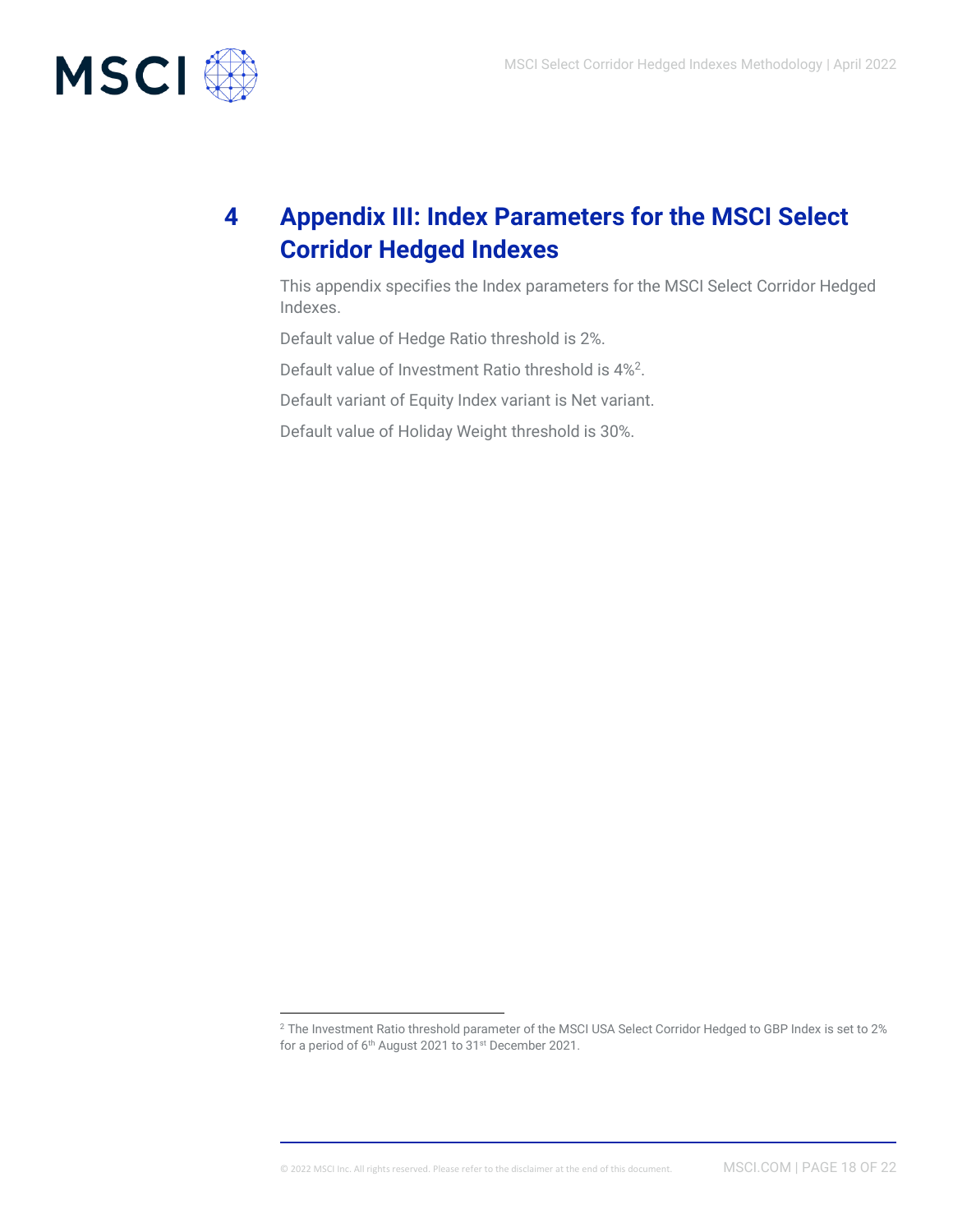

# <span id="page-17-0"></span>**4 Appendix III: Index Parameters for the MSCI Select Corridor Hedged Indexes**

This appendix specifies the Index parameters for the MSCI Select Corridor Hedged Indexes.

Default value of Hedge Ratio threshold is 2%.

Default value of Investment Ratio threshold is 4%<sup>2</sup>.

Default variant of Equity Index variant is Net variant.

Default value of Holiday Weight threshold is 30%.

<sup>&</sup>lt;sup>2</sup> The Investment Ratio threshold parameter of the MSCI USA Select Corridor Hedged to GBP Index is set to 2% for a period of 6th August 2021 to 31st December 2021.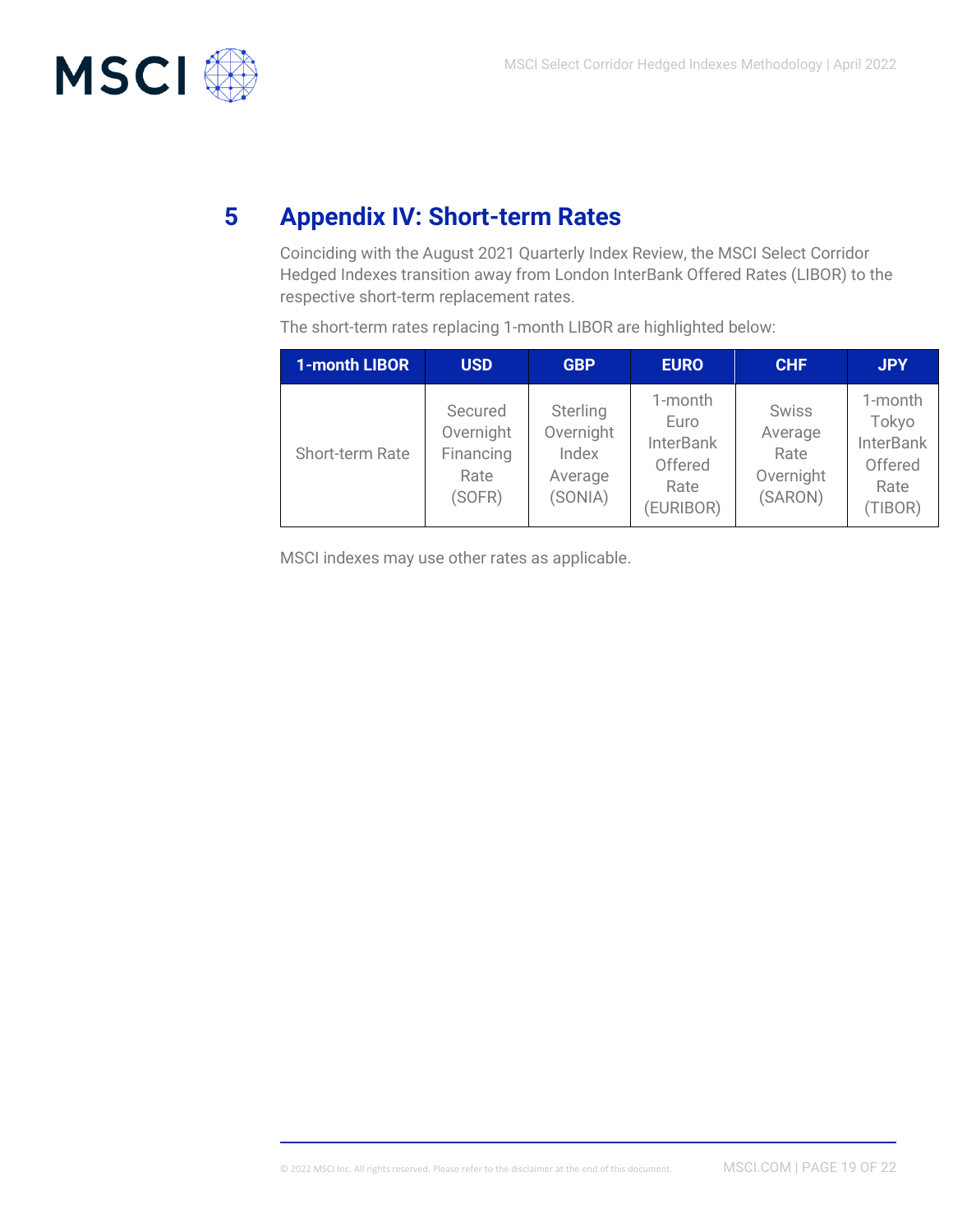

# **5 Appendix IV: Short-term Rates**

<span id="page-18-0"></span>Coinciding with the August 2021 Quarterly Index Review, the MSCI Select Corridor Hedged Indexes transition away from London InterBank Offered Rates (LIBOR) to the respective short-term replacement rates.

| 1-month LIBOR   | <b>USD</b>                                          | <b>GBP</b>                                           | <b>EURO</b>                                                         | <b>CHF</b>                                              | <b>JPY</b>                                                         |
|-----------------|-----------------------------------------------------|------------------------------------------------------|---------------------------------------------------------------------|---------------------------------------------------------|--------------------------------------------------------------------|
| Short-term Rate | Secured<br>Overnight<br>Financing<br>Rate<br>(SOFR) | Sterling<br>Overnight<br>Index<br>Average<br>(SONIA) | 1-month<br>Euro<br><b>InterBank</b><br>Offered<br>Rate<br>(EURIBOR) | <b>Swiss</b><br>Average<br>Rate<br>Overnight<br>(SARON) | 1-month<br>Tokyo<br><b>InterBank</b><br>Offered<br>Rate<br>(TIBOR) |

The short-term rates replacing 1-month LIBOR are highlighted below:

MSCI indexes may use other rates as applicable.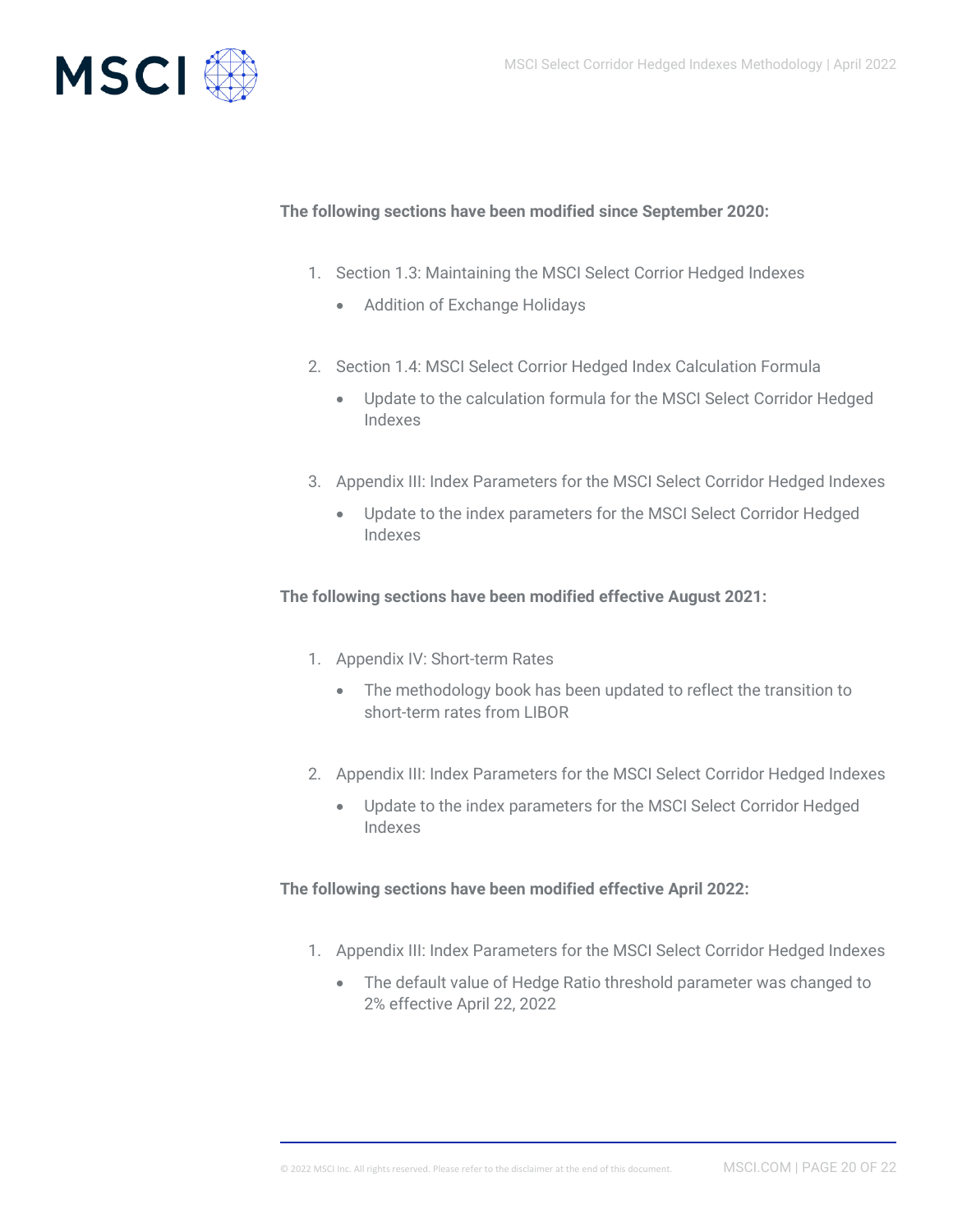

#### **The following sections have been modified since September 2020:**

- 1. Section 1.3: Maintaining the MSCI Select Corrior Hedged Indexes
	- Addition of Exchange Holidays
- 2. Section 1.4: MSCI Select Corrior Hedged Index Calculation Formula
	- Update to the calculation formula for the MSCI Select Corridor Hedged Indexes
- 3. Appendix III: Index Parameters for the MSCI Select Corridor Hedged Indexes
	- Update to the index parameters for the MSCI Select Corridor Hedged Indexes

#### **The following sections have been modified effective August 2021:**

- 1. Appendix IV: Short-term Rates
	- The methodology book has been updated to reflect the transition to short-term rates from LIBOR
- 2. Appendix III: Index Parameters for the MSCI Select Corridor Hedged Indexes
	- Update to the index parameters for the MSCI Select Corridor Hedged Indexes

**The following sections have been modified effective April 2022:**

- 1. Appendix III: Index Parameters for the MSCI Select Corridor Hedged Indexes
	- The default value of Hedge Ratio threshold parameter was changed to 2% effective April 22, 2022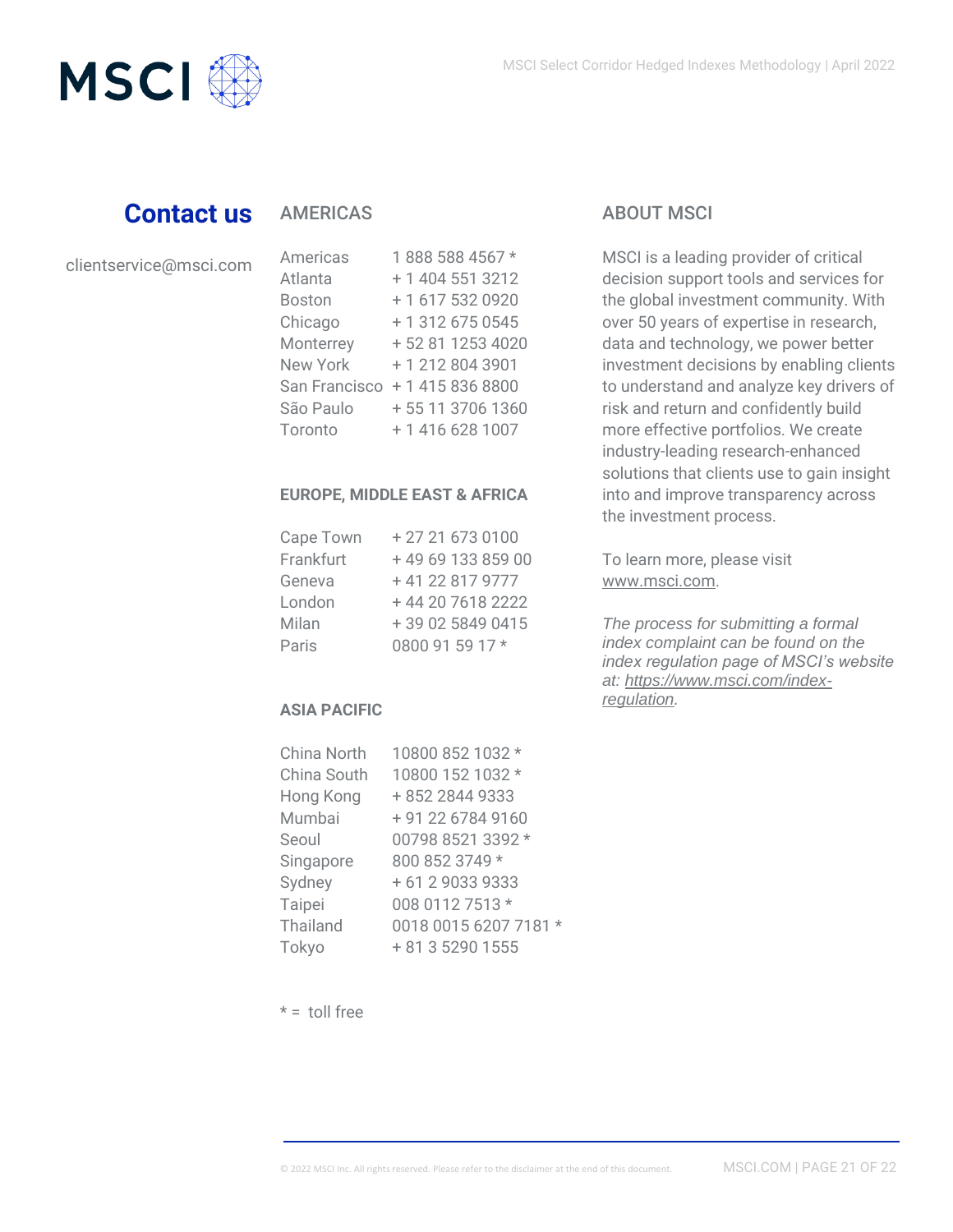

## **Contact us**

### AMERICAS

clientservice@msci.com

| Americas        | 1888 588 4567 *   |
|-----------------|-------------------|
| Atlanta         | + 1 404 551 3212  |
| <b>Boston</b>   | +1 617 532 0920   |
| Chicago         | + 1 312 675 0545  |
| Monterrey       | + 52 81 1253 4020 |
| <b>New York</b> | +12128043901      |
| San Francisco   | +14158368800      |
| São Paulo       | + 55 11 3706 1360 |
| Toronto         | +1 416 628 1007   |

#### **EUROPE, MIDDLE EAST & AFRICA**

| Cape Town | +27 21 673 0100  |
|-----------|------------------|
| Frankfurt | +496913385900    |
| Geneva    | +41 22 817 9777  |
| London    | +44 20 7618 2222 |
| Milan     | +39 02 5849 0415 |
| Paris     | 0800 91 59 17 *  |

#### **ASIA PACIFIC**

| China North | 10800 852 1032 *      |
|-------------|-----------------------|
| China South | 10800 152 1032 *      |
| Hong Kong   | +852 2844 9333        |
| Mumbai      | + 91 22 6784 9160     |
| Seoul       | 00798 8521 3392 *     |
| Singapore   | 800 852 3749 *        |
| Sydney      | + 61 2 9033 9333      |
| Taipei      | 008 0112 7513 *       |
| Thailand    | 0018 0015 6207 7181 * |
| Tokyo       | + 81 3 5290 1555      |

### ABOUT MSCI

MSCI is a leading provider of critical decision support tools and services for the global investment community. With over 50 years of expertise in research, data and technology, we power better investment decisions by enabling clients to understand and analyze key drivers of risk and return and confidently build more effective portfolios. We create industry-leading research-enhanced solutions that clients use to gain insight into and improve transparency across the investment process.

To learn more, please visit [www.msci.com.](http://www.msci.com/)

*The process for submitting a formal index complaint can be found on the index regulation page of MSCI's website at: [https://www.msci.com/index](https://www.msci.com/index-regulation)[regulation.](https://www.msci.com/index-regulation)*

 $* =$  toll free